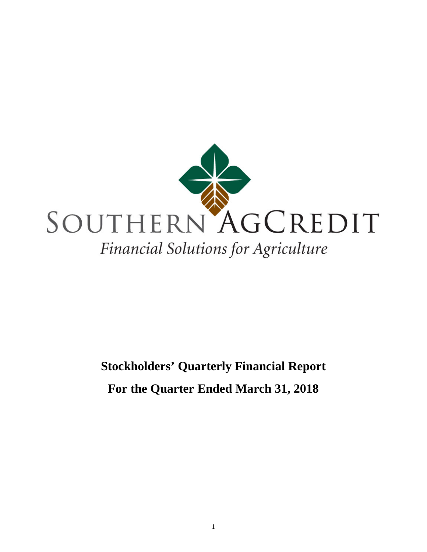

# **Stockholders' Quarterly Financial Report For the Quarter Ended March 31, 2018**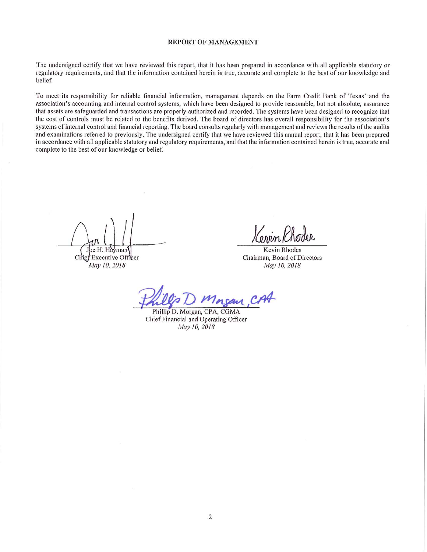#### **REPORT OF MANAGEMENT**

The undersigned certify that we have reviewed this report, that it has been prepared in accordance with all applicable statutory or regulatory requirements, and that the information contained herein is true, accurate and complete to the best of our knowledge and belief.

To meet its responsibility for reliable financial information, management depends on the Farm Credit Bank of Texas' and the association's accounting and internal control systems, which have been designed to provide reasonable, but not absolute, assurance that assets are safeguarded and transactions are properly authorized and recorded. The systems have been designed to recognize that the cost of controls must be related to the benefits derived. The board of directors has overall responsibility for the association's systems of internal control and financial reporting. The board consults regularly with management and reviews the results of the audits and examinations referred to previously. The undersigned certify that we have reviewed this annual report, that it has been prepared in accordance with all applicable statutory and regulatory requirements, and that the information contained herein is true, accurate and complete to the best of our knowledge or belief.

e H. Hayman

Chie: Executive Officer May 10, 2018

Kevin Rhodes Chairman, Board of Directors May 10, 2018

Phillip D. Morgan, CPA, CGMA Chief Financial and Operating Officer May 10, 2018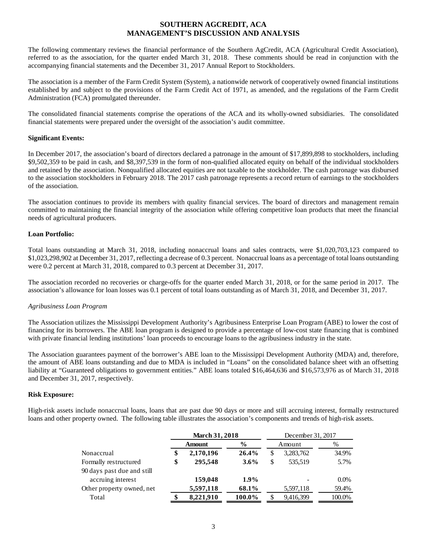## **SOUTHERN AGCREDIT, ACA MANAGEMENT'S DISCUSSION AND ANALYSIS**

The following commentary reviews the financial performance of the Southern AgCredit, ACA (Agricultural Credit Association), referred to as the association, for the quarter ended March 31, 2018. These comments should be read in conjunction with the accompanying financial statements and the December 31, 2017 Annual Report to Stockholders.

The association is a member of the Farm Credit System (System), a nationwide network of cooperatively owned financial institutions established by and subject to the provisions of the Farm Credit Act of 1971, as amended, and the regulations of the Farm Credit Administration (FCA) promulgated thereunder.

The consolidated financial statements comprise the operations of the ACA and its wholly-owned subsidiaries. The consolidated financial statements were prepared under the oversight of the association's audit committee.

## **Significant Events:**

In December 2017, the association's board of directors declared a patronage in the amount of \$17,899,898 to stockholders, including \$9,502,359 to be paid in cash, and \$8,397,539 in the form of non-qualified allocated equity on behalf of the individual stockholders and retained by the association. Nonqualified allocated equities are not taxable to the stockholder. The cash patronage was disbursed to the association stockholders in February 2018. The 2017 cash patronage represents a record return of earnings to the stockholders of the association.

The association continues to provide its members with quality financial services. The board of directors and management remain committed to maintaining the financial integrity of the association while offering competitive loan products that meet the financial needs of agricultural producers.

## **Loan Portfolio:**

Total loans outstanding at March 31, 2018, including nonaccrual loans and sales contracts, were \$1,020,703,123 compared to \$1,023,298,902 at December 31, 2017, reflecting a decrease of 0.3 percent. Nonaccrual loans as a percentage of total loans outstanding were 0.2 percent at March 31, 2018, compared to 0.3 percent at December 31, 2017.

The association recorded no recoveries or charge-offs for the quarter ended March 31, 2018, or for the same period in 2017. The association's allowance for loan losses was 0.1 percent of total loans outstanding as of March 31, 2018, and December 31, 2017.

## *Agribusiness Loan Program*

The Association utilizes the Mississippi Development Authority's Agribusiness Enterprise Loan Program (ABE) to lower the cost of financing for its borrowers. The ABE loan program is designed to provide a percentage of low-cost state financing that is combined with private financial lending institutions' loan proceeds to encourage loans to the agribusiness industry in the state.

The Association guarantees payment of the borrower's ABE loan to the Mississippi Development Authority (MDA) and, therefore, the amount of ABE loans outstanding and due to MDA is included in "Loans" on the consolidated balance sheet with an offsetting liability at "Guaranteed obligations to government entities." ABE loans totaled \$16,464,636 and \$16,573,976 as of March 31, 2018 and December 31, 2017, respectively.

## **Risk Exposure:**

High-risk assets include nonaccrual loans, loans that are past due 90 days or more and still accruing interest, formally restructured loans and other property owned. The following table illustrates the association's components and trends of high-risk assets.

|                            | <b>March 31, 2018</b> |               |               | December 31, 2017 |           |         |  |
|----------------------------|-----------------------|---------------|---------------|-------------------|-----------|---------|--|
|                            |                       | <b>Amount</b> | $\frac{6}{9}$ |                   | Amount    | %       |  |
| Nonaccrual                 | \$                    | 2,170,196     | 26.4%         | \$                | 3,283,762 | 34.9%   |  |
| Formally restructured      | \$                    | 295,548       | $3.6\%$       | \$                | 535,519   | 5.7%    |  |
| 90 days past due and still |                       |               |               |                   |           |         |  |
| accruing interest          |                       | 159,048       | $1.9\%$       |                   |           | $0.0\%$ |  |
| Other property owned, net  |                       | 5,597,118     | 68.1%         |                   | 5,597,118 | 59.4%   |  |
| Total                      |                       | 8,221,910     | 100.0%        | S                 | 9,416,399 | 100.0%  |  |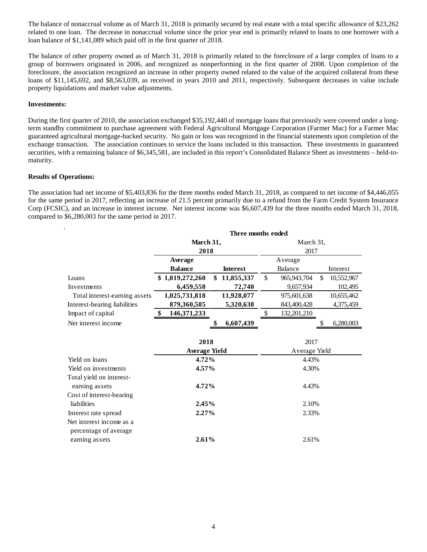The balance of nonaccrual volume as of March 31, 2018 is primarily secured by real estate with a total specific allowance of \$23,262 related to one loan. The decrease in nonaccrual volume since the prior year end is primarily related to loans to one borrower with a loan balance of \$1,141,089 which paid off in the first quarter of 2018.

The balance of other property owned as of March 31, 2018 is primarily related to the foreclosure of a large complex of loans to a group of borrowers originated in 2006, and recognized as nonperforming in the first quarter of 2008. Upon completion of the foreclosure, the association recognized an increase in other property owned related to the value of the acquired collateral from these loans of \$11,145,692, and \$8,563,039, as received in years 2010 and 2011, respectively. Subsequent decreases in value include property liquidations and market value adjustments.

## **Investments:**

During the first quarter of 2010, the association exchanged \$35,192,440 of mortgage loans that previously were covered under a longterm standby commitment to purchase agreement with Federal Agricultural Mortgage Corporation (Farmer Mac) for a Farmer Mac guaranteed agricultural mortgage-backed security. No gain or loss was recognized in the financial statements upon completion of the exchange transaction. The association continues to service the loans included in this transaction. These investments in guaranteed securities, with a remaining balance of \$6,345,581, are included in this report's Consolidated Balance Sheet as investments – held-tomaturity.

## **Results of Operations:**

The association had net income of \$5,403,836 for the three months ended March 31, 2018, as compared to net income of \$4,446,055 for the same period in 2017, reflecting an increase of 21.5 percent primarily due to a refund from the Farm Credit System Insurance Corp (FCSIC), and an increase in interest income. Net interest income was \$6,607,439 for the three months ended March 31, 2018, compared to \$6,280,003 for the same period in 2017.

|                               | Three months ended   |                  |               |               |    |            |  |
|-------------------------------|----------------------|------------------|---------------|---------------|----|------------|--|
|                               | March 31,            |                  |               | March 31,     |    |            |  |
|                               | 2018                 |                  |               | 2017          |    |            |  |
|                               | Average              |                  |               | Average       |    |            |  |
|                               | <b>Balance</b>       | <b>Interest</b>  |               | Balance       |    | Interest   |  |
| Loans                         | \$1,019,272,260      | \$<br>11,855,337 | $\mathsf{\$}$ | 965,943,704   | \$ | 10,552,967 |  |
| Investments                   | 6,459,558            | 72,740           |               | 9,657,934     |    | 102,495    |  |
| Total interest-earning assets | 1,025,731,818        | 11,928,077       |               | 975,601,638   |    | 10,655,462 |  |
| Interest-bearing liabilities  | 879,360,585          | 5,320,638        |               | 843,400,428   |    | 4,375,459  |  |
| Impact of capital             | \$<br>146, 371, 233  |                  | \$            | 132,201,210   |    |            |  |
| Net interest income           |                      | 6,607,439<br>\$  |               |               | S  | 6,280,003  |  |
|                               |                      |                  |               |               |    |            |  |
|                               | 2018                 |                  |               | 2017          |    |            |  |
|                               | <b>Average Yield</b> |                  |               | Average Yield |    |            |  |
| Yield on loans                | 4.72%                |                  |               | 4.43%         |    |            |  |
| Yield on investments          | $4.57\%$             |                  |               | 4.30%         |    |            |  |
| Total yield on interest-      |                      |                  |               |               |    |            |  |
| earning assets                | 4.72%                |                  |               | 4.43%         |    |            |  |
| Cost of interest-bearing      |                      |                  |               |               |    |            |  |
| liabilities                   | 2.45%                |                  |               | 2.10%         |    |            |  |
| Interest rate spread          | 2.27%                |                  |               | 2.33%         |    |            |  |
| Net interest income as a      |                      |                  |               |               |    |            |  |
| percentage of average         |                      |                  |               |               |    |            |  |
| earning assets                | 2.61%                |                  |               | 2.61%         |    |            |  |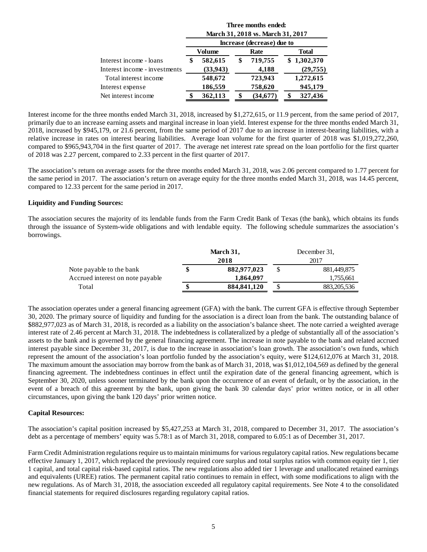|                               | Three months ended:<br>March 31, 2018 vs. March 31, 2017 |           |    |                            |              |             |  |  |
|-------------------------------|----------------------------------------------------------|-----------|----|----------------------------|--------------|-------------|--|--|
|                               |                                                          |           |    | Increase (decrease) due to |              |             |  |  |
|                               |                                                          | Volume    |    | Rate                       | <b>Total</b> |             |  |  |
| Interest income - loans       | \$                                                       | 582,615   | \$ | 719,755                    |              | \$1,302,370 |  |  |
| Interest income - investments |                                                          | (33, 943) |    | 4,188                      |              | (29, 755)   |  |  |
| Total interest income         |                                                          | 548,672   |    | 723,943                    |              | 1,272,615   |  |  |
| Interest expense              |                                                          | 186,559   |    | 758,620                    |              | 945,179     |  |  |
| Net interest income           |                                                          | 362,113   |    | (34,677)                   |              | 327,436     |  |  |

Interest income for the three months ended March 31, 2018, increased by \$1,272,615, or 11.9 percent, from the same period of 2017, primarily due to an increase earning assets and marginal increase in loan yield. Interest expense for the three months ended March 31, 2018, increased by \$945,179, or 21.6 percent, from the same period of 2017 due to an increase in interest-bearing liabilities, with a relative increase in rates on interest bearing liabilities. Average loan volume for the first quarter of 2018 was \$1,019,272,260, compared to \$965,943,704 in the first quarter of 2017. The average net interest rate spread on the loan portfolio for the first quarter of 2018 was 2.27 percent, compared to 2.33 percent in the first quarter of 2017.

The association's return on average assets for the three months ended March 31, 2018, was 2.06 percent compared to 1.77 percent for the same period in 2017. The association's return on average equity for the three months ended March 31, 2018, was 14.45 percent, compared to 12.33 percent for the same period in 2017.

## **Liquidity and Funding Sources:**

The association secures the majority of its lendable funds from the Farm Credit Bank of Texas (the bank), which obtains its funds through the issuance of System-wide obligations and with lendable equity. The following schedule summarizes the association's borrowings.

|                                  | March 31,           |      | December 31.  |  |  |
|----------------------------------|---------------------|------|---------------|--|--|
|                                  | 2018                | 2017 |               |  |  |
| Note payable to the bank         | \$<br>882,977,023   |      | 881,449,875   |  |  |
| Accrued interest on note payable | 1.864.097           |      | 1,755,661     |  |  |
| Total                            | \$<br>884, 841, 120 | \$   | 883, 205, 536 |  |  |

The association operates under a general financing agreement (GFA) with the bank. The current GFA is effective through September 30, 2020. The primary source of liquidity and funding for the association is a direct loan from the bank. The outstanding balance of \$882,977,023 as of March 31, 2018, is recorded as a liability on the association's balance sheet. The note carried a weighted average interest rate of 2.46 percent at March 31, 2018. The indebtedness is collateralized by a pledge of substantially all of the association's assets to the bank and is governed by the general financing agreement. The increase in note payable to the bank and related accrued interest payable since December 31, 2017, is due to the increase in association's loan growth. The association's own funds, which represent the amount of the association's loan portfolio funded by the association's equity, were \$124,612,076 at March 31, 2018. The maximum amount the association may borrow from the bank as of March 31, 2018, was \$1,012,104,569 as defined by the general financing agreement. The indebtedness continues in effect until the expiration date of the general financing agreement, which is September 30, 2020, unless sooner terminated by the bank upon the occurrence of an event of default, or by the association, in the event of a breach of this agreement by the bank, upon giving the bank 30 calendar days' prior written notice, or in all other circumstances, upon giving the bank 120 days' prior written notice.

#### **Capital Resources:**

The association's capital position increased by \$5,427,253 at March 31, 2018, compared to December 31, 2017. The association's debt as a percentage of members' equity was 5.78:1 as of March 31, 2018, compared to 6.05:1 as of December 31, 2017.

Farm Credit Administration regulations require us to maintain minimums for various regulatory capital ratios. New regulations became effective January 1, 2017, which replaced the previously required core surplus and total surplus ratios with common equity tier 1, tier 1 capital, and total capital risk-based capital ratios. The new regulations also added tier 1 leverage and unallocated retained earnings and equivalents (UREE) ratios. The permanent capital ratio continues to remain in effect, with some modifications to align with the new regulations. As of March 31, 2018, the association exceeded all regulatory capital requirements. See Note 4 to the consolidated financial statements for required disclosures regarding regulatory capital ratios.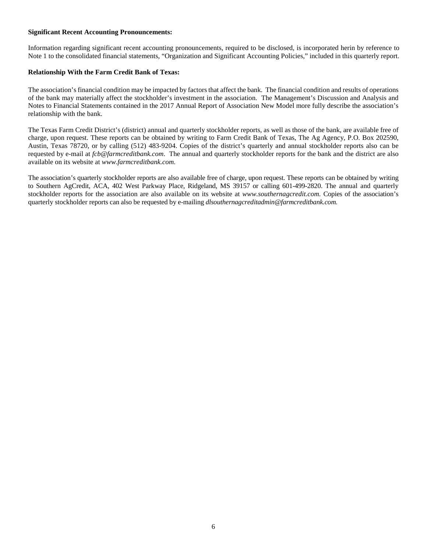## **Significant Recent Accounting Pronouncements:**

Information regarding significant recent accounting pronouncements, required to be disclosed, is incorporated herin by reference to Note 1 to the consolidated financial statements, "Organization and Significant Accounting Policies," included in this quarterly report.

## **Relationship With the Farm Credit Bank of Texas:**

The association's financial condition may be impacted by factors that affect the bank. The financial condition and results of operations of the bank may materially affect the stockholder's investment in the association. The Management's Discussion and Analysis and Notes to Financial Statements contained in the 2017 Annual Report of Association New Model more fully describe the association's relationship with the bank.

The Texas Farm Credit District's (district) annual and quarterly stockholder reports, as well as those of the bank, are available free of charge, upon request. These reports can be obtained by writing to Farm Credit Bank of Texas, The Ag Agency, P.O. Box 202590, Austin, Texas 78720, or by calling (512) 483-9204. Copies of the district's quarterly and annual stockholder reports also can be requested by e-mail at *fcb@farmcreditbank.com*[.](mailto:ktankersley@farmcreditbank.com) The annual and quarterly stockholder reports for the bank and the district are also available on its website at *www.farmcreditbank.com.*

The association's quarterly stockholder reports are also available free of charge, upon request. These reports can be obtained by writing to Southern AgCredit, ACA, 402 West Parkway Place, Ridgeland, MS 39157 or calling 601-499-2820. The annual and quarterly stockholder reports for the association are also available on its website at *www.southernagcredit.com.* Copies of the association's quarterly stockholder reports can also be requested by e-mailing *dlsouthernagcreditadmin@farmcreditbank.com.*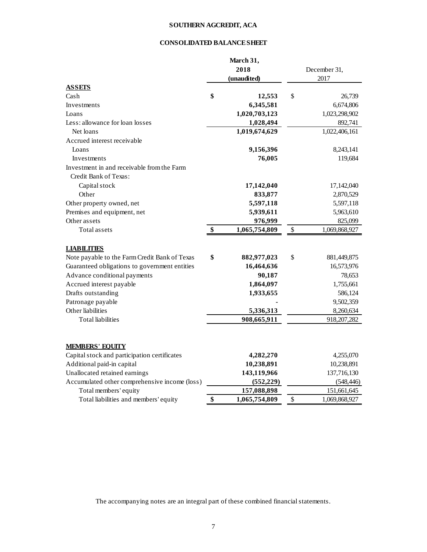# **SOUTHERN AGCREDIT, ACA**

## **CONSOLIDATED BALANCE SHEET**

|                                               | March 31,           |                      |               |  |
|-----------------------------------------------|---------------------|----------------------|---------------|--|
|                                               | 2018                | December 31,<br>2017 |               |  |
|                                               | (unaudited)         |                      |               |  |
| <b>ASSETS</b>                                 |                     |                      |               |  |
| Cash                                          | \$<br>12,553        | \$                   | 26,739        |  |
| Investments                                   | 6,345,581           |                      | 6,674,806     |  |
| Loans                                         | 1,020,703,123       |                      | 1,023,298,902 |  |
| Less: allowance for loan losses               | 1,028,494           |                      | 892,741       |  |
| Net loans                                     | 1,019,674,629       |                      | 1,022,406,161 |  |
| Accrued interest receivable                   |                     |                      |               |  |
| Loans                                         | 9,156,396           |                      | 8,243,141     |  |
| Investments                                   | 76,005              |                      | 119,684       |  |
| Investment in and receivable from the Farm    |                     |                      |               |  |
| Credit Bank of Texas:                         |                     |                      |               |  |
| Capital stock                                 | 17,142,040          |                      | 17,142,040    |  |
| Other                                         | 833,877             |                      | 2,870,529     |  |
| Other property owned, net                     | 5,597,118           |                      | 5,597,118     |  |
| Premises and equipment, net                   | 5,939,611           |                      | 5,963,610     |  |
| Other assets                                  | 976,999             |                      | 825,099       |  |
| Total assets                                  | \$<br>1,065,754,809 | \$                   | 1,069,868,927 |  |
|                                               |                     |                      |               |  |
| <b>LIABILITIES</b>                            |                     |                      |               |  |
| Note payable to the Farm Credit Bank of Texas | \$<br>882,977,023   | \$                   | 881,449,875   |  |
| Guaranteed obligations to government entities | 16,464,636          |                      | 16,573,976    |  |
| Advance conditional payments                  | 90,187              |                      | 78,653        |  |
| Accrued interest payable                      | 1,864,097           |                      | 1,755,661     |  |
| Drafts outstanding                            | 1,933,655           |                      | 586,124       |  |
| Patronage payable                             |                     |                      | 9,502,359     |  |
| Other liabilities                             | 5,336,313           |                      | 8,260,634     |  |
| <b>Total liabilities</b>                      | 908,665,911         |                      | 918, 207, 282 |  |
|                                               |                     |                      |               |  |
|                                               |                     |                      |               |  |
| <b>MEMBERS' EQUITY</b>                        |                     |                      |               |  |
| Capital stock and participation certificates  | 4,282,270           |                      | 4,255,070     |  |
| Additional paid-in capital                    | 10,238,891          |                      | 10,238,891    |  |
| Unallocated retained earnings                 | 143,119,966         |                      | 137,716,130   |  |
| Accumulated other comprehensive income (loss) | (552, 229)          |                      | (548, 446)    |  |
| Total members' equity                         | 157,088,898         |                      | 151,661,645   |  |
| Total liabilities and members' equity         | \$<br>1,065,754,809 | \$                   | 1,069,868,927 |  |

The accompanying notes are an integral part of these combined financial statements.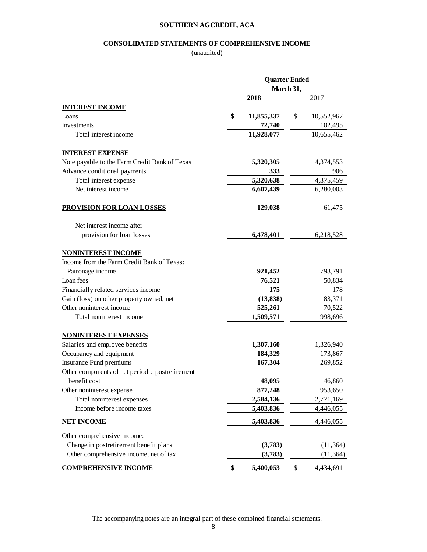## **SOUTHERN AGCREDIT, ACA**

## **CONSOLIDATED STATEMENTS OF COMPREHENSIVE INCOME**

(unaudited)

|                                                 | <b>Quarter Ended</b><br>March 31, |            |    |            |
|-------------------------------------------------|-----------------------------------|------------|----|------------|
|                                                 |                                   |            |    |            |
|                                                 |                                   | 2018       |    | 2017       |
| <b>INTEREST INCOME</b>                          |                                   |            |    |            |
| Loans                                           | \$                                | 11,855,337 | \$ | 10,552,967 |
| Investments                                     |                                   | 72,740     |    | 102,495    |
| Total interest income                           |                                   | 11,928,077 |    | 10,655,462 |
| <b>INTEREST EXPENSE</b>                         |                                   |            |    |            |
| Note payable to the Farm Credit Bank of Texas   |                                   | 5,320,305  |    | 4,374,553  |
| Advance conditional payments                    |                                   | 333        |    | 906        |
| Total interest expense                          |                                   | 5,320,638  |    | 4,375,459  |
| Net interest income                             |                                   | 6,607,439  |    | 6,280,003  |
| <b>PROVISION FOR LOAN LOSSES</b>                |                                   | 129,038    |    | 61,475     |
| Net interest income after                       |                                   |            |    |            |
| provision for loan losses                       |                                   | 6,478,401  |    | 6,218,528  |
| <b>NONINTEREST INCOME</b>                       |                                   |            |    |            |
| Income from the Farm Credit Bank of Texas:      |                                   |            |    |            |
| Patronage income                                |                                   | 921,452    |    | 793,791    |
| Loan fees                                       |                                   | 76,521     |    | 50,834     |
| Financially related services income             |                                   | 175        |    | 178        |
| Gain (loss) on other property owned, net        |                                   | (13, 838)  |    | 83,371     |
| Other noninterest income                        |                                   | 525,261    |    | 70,522     |
| Total noninterest income                        |                                   | 1,509,571  |    | 998,696    |
| <b>NONINTEREST EXPENSES</b>                     |                                   |            |    |            |
| Salaries and employee benefits                  |                                   | 1,307,160  |    | 1,326,940  |
| Occupancy and equipment                         |                                   | 184,329    |    | 173,867    |
| Insurance Fund premiums                         |                                   | 167,304    |    | 269,852    |
| Other components of net periodic postretirement |                                   |            |    |            |
| benefit cost                                    |                                   | 48,095     |    | 46,860     |
| Other noninterest expense                       |                                   | 877,248    |    | 953,650    |
| Total noninterest expenses                      |                                   | 2,584,136  |    | 2,771,169  |
| Income before income taxes                      |                                   | 5,403,836  |    | 4,446,055  |
| <b>NET INCOME</b>                               |                                   | 5,403,836  |    | 4,446,055  |
| Other comprehensive income:                     |                                   |            |    |            |
| Change in postretirement benefit plans          |                                   | (3,783)    |    | (11, 364)  |
| Other comprehensive income, net of tax          |                                   | (3,783)    |    | (11, 364)  |
| <b>COMPREHENSIVE INCOME</b>                     | \$                                | 5,400,053  | \$ | 4,434,691  |

The accompanying notes are an integral part of these combined financial statements.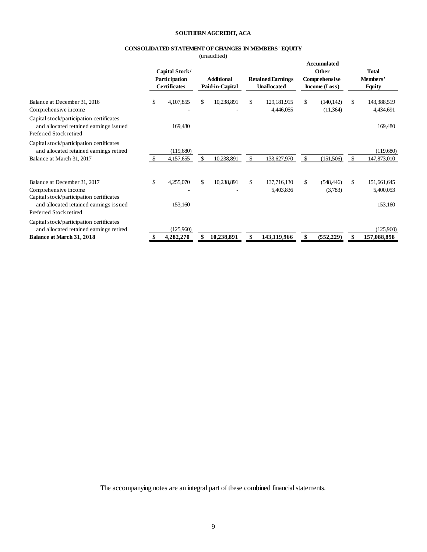## **SOUTHERN AGCREDIT, ACA**

## **CONSOLIDATED STATEMENT OF CHANGES IN MEMBERS' EQUITY**

(unaudited)

|                                                                                                                                                                       | Capital Stock/<br>Participation<br><b>Certificates</b> | <b>Additional</b><br>Paid-in-Capital | <b>Retained Earnings</b><br><b>Unallocated</b> | <b>Accumulated</b><br>Other<br>Comprehensive<br>Income (Loss) | <b>Total</b><br>Members'<br><b>Equity</b> |
|-----------------------------------------------------------------------------------------------------------------------------------------------------------------------|--------------------------------------------------------|--------------------------------------|------------------------------------------------|---------------------------------------------------------------|-------------------------------------------|
| Balance at December 31, 2016                                                                                                                                          | \$<br>4,107,855                                        | \$<br>10,238,891                     | \$<br>129, 181, 915                            | \$<br>(140, 142)                                              | \$<br>143,388,519                         |
| Comprehensive income<br>Capital stock/participation certificates<br>and allocated retained earnings issued<br>Preferred Stock retired                                 | 169,480                                                |                                      | 4,446,055                                      | (11,364)                                                      | 4,434,691<br>169,480                      |
| Capital stock/participation certificates<br>and allocated retained earnings retired<br>Balance at March 31, 2017                                                      | (119,680)<br>4,157,655                                 | 10,238,891                           | \$<br>133,627,970                              | \$<br>(151, 506)                                              | \$<br>(119,680)<br>147,873,010            |
| Balance at December 31, 2017<br>Comprehensive income<br>Capital stock/participation certificates<br>and allocated retained earnings issued<br>Preferred Stock retired | \$<br>4,255,070<br>153,160                             | \$<br>10,238,891                     | \$<br>137,716,130<br>5,403,836                 | \$<br>(548, 446)<br>(3,783)                                   | \$<br>151,661,645<br>5,400,053<br>153,160 |
| Capital stock/participation certificates<br>and allocated retained earnings retired<br><b>Balance at March 31, 2018</b>                                               | (125,960)<br>4,282,270                                 | 10,238,891                           | 143,119,966                                    | (552, 229)                                                    | (125,960)<br>157,088,898                  |

The accompanying notes are an integral part of these combined financial statements.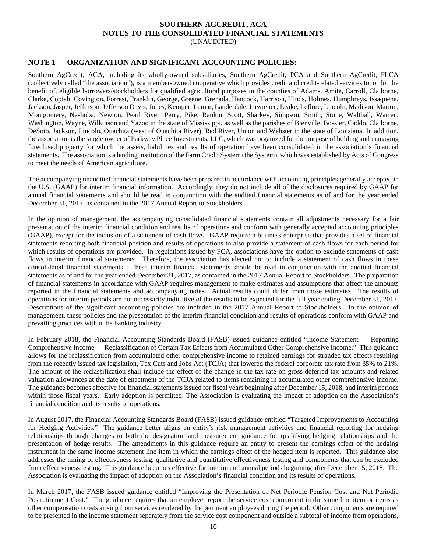## **SOUTHERN AGCREDIT, ACA NOTES TO THE CONSOLIDATED FINANCIAL STATEMENTS** (UNAUDITED)

## **NOTE 1 — ORGANIZATION AND SIGNIFICANT ACCOUNTING POLICIES:**

Southern AgCredit, ACA, including its wholly-owned subsidiaries, Southern AgCredit, PCA and Southern AgCredit, FLCA (collectively called "the association"), is a member-owned cooperative which provides credit and credit-related services to, or for the benefit of, eligible borrowers/stockholders for qualified agricultural purposes in the counties of Adams, Amite, Carroll, Claiborne, Clarke, Copiah, Covington, Forrest, Franklin, George, Greene, Grenada, Hancock, Harrison, Hinds, Holmes, Humphreys, Issaquena, Jackson, Jasper, Jefferson, Jefferson Davis, Jones, Kemper, Lamar, Lauderdale, Lawrence, Leake, Leflore, Lincoln, Madison, Marion, Montgomery, Neshoba, Newton, Pearl River, Perry, Pike, Rankin, Scott, Sharkey, Simpson, Smith, Stone, Walthall, Warren, Washington, Wayne, Wilkinson and Yazoo in the state of Mississippi, as well as the parishes of Bienville, Bossier, Caddo, Claiborne, DeSoto, Jackson, Lincoln, Ouachita (west of Ouachita River), Red River, Union and Webster in the state of Louisiana. In addition, the association is the single owner of Parkway Place Investments, LLC, which was organized for the purpose of holding and managing foreclosed property for which the assets, liabilities and results of operation have been consolidated in the association's financial statements. The association is a lending institution of the Farm Credit System (the System), which was established by Acts of Congress to meet the needs of American agriculture.

The accompanying unaudited financial statements have been prepared in accordance with accounting principles generally accepted in the U.S. (GAAP) for interim financial information. Accordingly, they do not include all of the disclosures required by GAAP for annual financial statements and should be read in conjunction with the audited financial statements as of and for the year ended December 31, 2017, as contained in the 2017 Annual Report to Stockholders.

In the opinion of management, the accompanying consolidated financial statements contain all adjustments necessary for a fair presentation of the interim financial condition and results of operations and conform with generally accepted accounting principles (GAAP), except for the inclusion of a statement of cash flows. GAAP require a business enterprise that provides a set of financial statements reporting both financial position and results of operations to also provide a statement of cash flows for each period for which results of operations are provided. In regulations issued by FCA, associations have the option to exclude statements of cash flows in interim financial statements. Therefore, the association has elected not to include a statement of cash flows in these consolidated financial statements. These interim financial statements should be read in conjunction with the audited financial statements as of and for the year ended December 31, 2017, as contained in the 2017 Annual Report to Stockholders. The preparation of financial statements in accordance with GAAP requires management to make estimates and assumptions that affect the amounts reported in the financial statements and accompanying notes. Actual results could differ from those estimates. The results of operations for interim periods are not necessarily indicative of the results to be expected for the full year ending December 31, 2017. Descriptions of the significant accounting policies are included in the 2017 Annual Report to Stockholders. In the opinion of management, these policies and the presentation of the interim financial condition and results of operations conform with GAAP and prevailing practices within the banking industry.

In February 2018, the Financial Accounting Standards Board (FASB) issued guidance entitled "Income Statement — Reporting Comprehensive Income — Reclassification of Certain Tax Effects from Accumulated Other Comprehensive Income." This guidance allows for the reclassification from accumulated other comprehensive income to retained earnings for stranded tax effects resulting from the recently issued tax legislation, Tax Cuts and Jobs Act (TCJA) that lowered the federal corporate tax rate from 35% to 21%. The amount of the reclassification shall include the effect of the change in the tax rate on gross deferred tax amounts and related valuation allowances at the date of enactment of the TCJA related to items remaining in accumulated other comprehensive income. The guidance becomes effective for financial statements issued for fiscal years beginning after December 15, 2018, and interim periods within those fiscal years. Early adoption is permitted. The Association is evaluating the impact of adoption on the Association's financial condition and its results of operations.

In August 2017, the Financial Accounting Standards Board (FASB) issued guidance entitled "Targeted Improvements to Accounting for Hedging Activities." The guidance better aligns an entity's risk management activities and financial reporting for hedging relationships through changes to both the designation and measurement guidance for qualifying hedging relationships and the presentation of hedge results. The amendments in this guidance require an entity to present the earnings effect of the hedging instrument in the same income statement line item in which the earnings effect of the hedged item is reported. This guidance also addresses the timing of effectiveness testing, qualitative and quantitative effectiveness testing and components that can be excluded from effectiveness testing. This guidance becomes effective for interim and annual periods beginning after December 15, 2018. The Association is evaluating the impact of adoption on the Association's financial condition and its results of operations.

In March 2017, the FASB issued guidance entitled "Improving the Presentation of Net Periodic Pension Cost and Net Periodic Postretirement Cost." The guidance requires that an employer report the service cost component in the same line item or items as other compensation costs arising from services rendered by the pertinent employees during the period. Other components are required to be presented in the income statement separately from the service cost component and outside a subtotal of income from operations,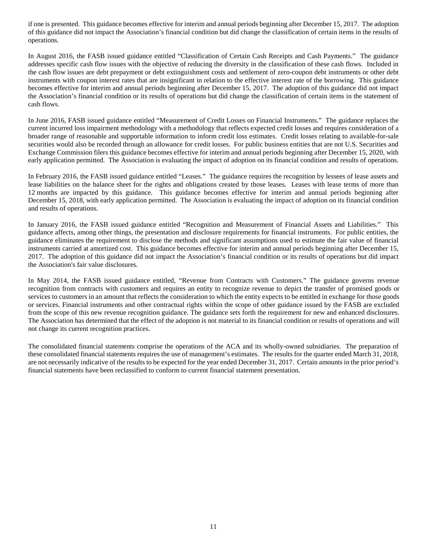if one is presented. This guidance becomes effective for interim and annual periods beginning after December 15, 2017. The adoption of this guidance did not impact the Association's financial condition but did change the classification of certain items in the results of operations.

In August 2016, the FASB issued guidance entitled "Classification of Certain Cash Receipts and Cash Payments." The guidance addresses specific cash flow issues with the objective of reducing the diversity in the classification of these cash flows. Included in the cash flow issues are debt prepayment or debt extinguishment costs and settlement of zero-coupon debt instruments or other debt instruments with coupon interest rates that are insignificant in relation to the effective interest rate of the borrowing. This guidance becomes effective for interim and annual periods beginning after December 15, 2017. The adoption of this guidance did not impact the Association's financial condition or its results of operations but did change the classification of certain items in the statement of cash flows.

In June 2016, FASB issued guidance entitled "Measurement of Credit Losses on Financial Instruments." The guidance replaces the current incurred loss impairment methodology with a methodology that reflects expected credit losses and requires consideration of a broader range of reasonable and supportable information to inform credit loss estimates. Credit losses relating to available-for-sale securities would also be recorded through an allowance for credit losses. For public business entities that are not U.S. Securities and Exchange Commission filers this guidance becomes effective for interim and annual periods beginning after December 15, 2020, with early application permitted. The Association is evaluating the impact of adoption on its financial condition and results of operations.

In February 2016, the FASB issued guidance entitled "Leases." The guidance requires the recognition by lessees of lease assets and lease liabilities on the balance sheet for the rights and obligations created by those leases. Leases with lease terms of more than 12 months are impacted by this guidance. This guidance becomes effective for interim and annual periods beginning after December 15, 2018, with early application permitted. The Association is evaluating the impact of adoption on its financial condition and results of operations.

In January 2016, the FASB issued guidance entitled "Recognition and Measurement of Financial Assets and Liabilities." This guidance affects, among other things, the presentation and disclosure requirements for financial instruments. For public entities, the guidance eliminates the requirement to disclose the methods and significant assumptions used to estimate the fair value of financial instruments carried at amortized cost. This guidance becomes effective for interim and annual periods beginning after December 15, 2017. The adoption of this guidance did not impact the Association's financial condition or its results of operations but did impact the Association's fair value disclosures.

In May 2014, the FASB issued guidance entitled, "Revenue from Contracts with Customers." The guidance governs revenue recognition from contracts with customers and requires an entity to recognize revenue to depict the transfer of promised goods or services to customers in an amount that reflects the consideration to which the entity expects to be entitled in exchange for those goods or services. Financial instruments and other contractual rights within the scope of other guidance issued by the FASB are excluded from the scope of this new revenue recognition guidance. The guidance sets forth the requirement for new and enhanced disclosures. The Association has determined that the effect of the adoption is not material to its financial condition or results of operations and will not change its current recognition practices.

The consolidated financial statements comprise the operations of the ACA and its wholly-owned subsidiaries. The preparation of these consolidated financial statements requires the use of management's estimates. The results for the quarter ended March 31, 2018, are not necessarily indicative of the results to be expected for the year ended December 31, 2017. Certain amounts in the prior period's financial statements have been reclassified to conform to current financial statement presentation.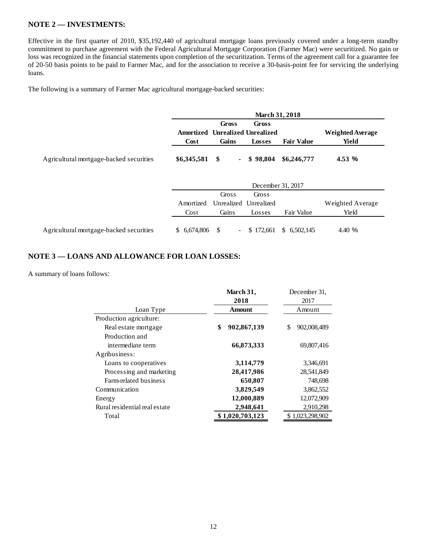## **NOTE 2 — INVESTMENTS:**

Effective in the first quarter of 2010, \$35,192,440 of agricultural mortgage loans previously covered under a long-term standby commitment to purchase agreement with the Federal Agricultural Mortgage Corporation (Farmer Mac) were securitized. No gain or loss was recognized in the financial statements upon completion of the securitization. Terms of the agreement call for a guarantee fee of 20-50 basis points to be paid to Farmer Mac, and for the association to receive a 30-basis-point fee for servicing the underlying loans.

The following is a summary of Farmer Mac agricultural mortgage-backed securities:

|                                         | <b>March 31, 2018</b> |                       |                                                 |                   |                                  |  |  |
|-----------------------------------------|-----------------------|-----------------------|-------------------------------------------------|-------------------|----------------------------------|--|--|
|                                         | Amortized<br>Cost     | Gross<br>Gains        | Gross<br><b>Unrealized Unrealized</b><br>Losses | <b>Fair Value</b> | <b>Weighted Average</b><br>Yield |  |  |
| Agricultural mortgage-backed securities | \$6,345,581           | \$<br>$\blacksquare$  | \$98,804                                        | \$6,246,777       | 4.53 %                           |  |  |
|                                         |                       |                       | December 31, 2017                               |                   |                                  |  |  |
|                                         |                       | Gross                 | Gross                                           |                   |                                  |  |  |
|                                         | Amortized             | Unrealized            | Unrealized                                      |                   | Weighted Average                 |  |  |
|                                         | Cost                  | Gains                 | Losses                                          | Fair Value        | Yield                            |  |  |
| Agricultural mortgage-backed securities | \$ 6,674,806          | -\$<br>$\blacksquare$ | 172,661<br>S.                                   | \$6,502,145       | 4.40 %                           |  |  |

## **NOTE 3 — LOANS AND ALLOWANCE FOR LOAN LOSSES:**

A summary of loans follows:

|                               | March 31,         | December 31,      |  |  |
|-------------------------------|-------------------|-------------------|--|--|
|                               | 2018              | 2017              |  |  |
| Loan Type                     | Amount            | Amount            |  |  |
| Production agriculture:       |                   |                   |  |  |
| Real estate mortgage          | \$<br>902,867,139 | 902,008,489<br>\$ |  |  |
| Production and                |                   |                   |  |  |
| intermediate term             | 66,873,333        | 69,807,416        |  |  |
| Agribusiness:                 |                   |                   |  |  |
| Loans to cooperatives         | 3,114,779         | 3,346,691         |  |  |
| Processing and marketing      | 28,417,986        | 28,541,849        |  |  |
| Farm-related business         | 650,807           | 748,698           |  |  |
| Communication                 | 3,829,549         | 3,862,552         |  |  |
| Energy                        | 12,000,889        | 12,072,909        |  |  |
| Rural residential real estate | 2,948,641         | 2,910,298         |  |  |
| Total                         | \$1,020,703,123   | \$1,023,298,902   |  |  |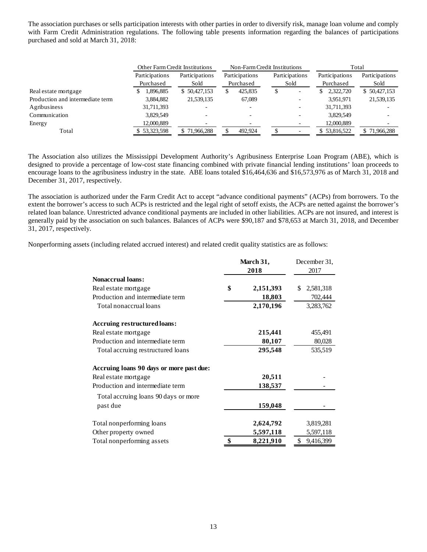The association purchases or sells participation interests with other parties in order to diversify risk, manage loan volume and comply with Farm Credit Administration regulations. The following table presents information regarding the balances of participations purchased and sold at March 31, 2018:

|                                  | <b>Other Farm Credit Institutions</b> |                |                | Non-Farm Credit Institutions | Total           |                |
|----------------------------------|---------------------------------------|----------------|----------------|------------------------------|-----------------|----------------|
|                                  | Participations                        | Participations | Participations | Participations               | Participations  | Participations |
|                                  | Purchased                             | Sold           | Purchased      | Sold                         | Purchased       | Sold           |
| Real estate mortgage             | 1.896.885                             | \$50,427,153   | 425,835<br>S   | S                            | 2,322,720<br>S. | \$50,427,153   |
| Production and intermediate term | 3,884,882                             | 21,539,135     | 67,089         |                              | 3,951,971       | 21,539,135     |
| Agribusiness                     | 31,711,393                            |                |                |                              | 31,711,393      |                |
| Communication                    | 3.829.549                             |                |                |                              | 3,829,549       |                |
| Energy                           | 12,000,889                            |                |                |                              | 12,000,889      |                |
| Total                            | \$53,323,598                          | \$71,966,288   | 492.924        |                              | \$53,816,522    | \$71,966,288   |

The Association also utilizes the Mississippi Development Authority's Agribusiness Enterprise Loan Program (ABE), which is designed to provide a percentage of low-cost state financing combined with private financial lending institutions' loan proceeds to encourage loans to the agribusiness industry in the state. ABE loans totaled \$16,464,636 and \$16,573,976 as of March 31, 2018 and December 31, 2017, respectively.

The association is authorized under the Farm Credit Act to accept "advance conditional payments" (ACPs) from borrowers. To the extent the borrower's access to such ACPs is restricted and the legal right of setoff exists, the ACPs are netted against the borrower's related loan balance. Unrestricted advance conditional payments are included in other liabilities. ACPs are not insured, and interest is generally paid by the association on such balances. Balances of ACPs were \$90,187 and \$78,653 at March 31, 2018, and December 31, 2017, respectively.

Nonperforming assets (including related accrued interest) and related credit quality statistics are as follows:

|                                          | March 31,<br>2018 |           | December 31.<br>2017 |
|------------------------------------------|-------------------|-----------|----------------------|
| <b>Nonaccrual loans:</b>                 |                   |           |                      |
| Real estate mortgage                     | \$                | 2,151,393 | 2,581,318<br>\$      |
| Production and intermediate term         |                   | 18,803    | 702,444              |
| Total nonaccrual loans                   |                   | 2,170,196 | 3,283,762            |
| <b>Accruing restructured loans:</b>      |                   |           |                      |
| Real estate mortgage                     |                   | 215,441   | 455,491              |
| Production and intermediate term         |                   | 80,107    | 80,028               |
| Total accruing restructured loans        |                   | 295,548   | 535,519              |
| Accruing loans 90 days or more past due: |                   |           |                      |
| Real estate mortgage                     |                   | 20,511    |                      |
| Production and intermediate term         |                   | 138,537   |                      |
| Total accruing loans 90 days or more     |                   |           |                      |
| past due                                 |                   | 159,048   |                      |
| Total nonperforming loans                |                   | 2,624,792 | 3,819,281            |
| Other property owned                     |                   | 5,597,118 | 5,597,118            |
| Total nonperforming assets               | \$                | 8,221,910 | \$<br>9,416,399      |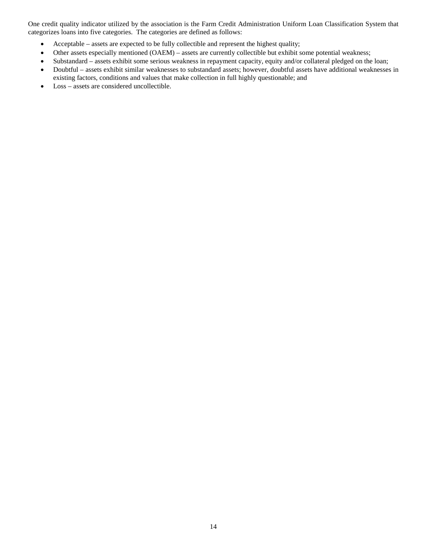One credit quality indicator utilized by the association is the Farm Credit Administration Uniform Loan Classification System that categorizes loans into five categories. The categories are defined as follows:

- Acceptable assets are expected to be fully collectible and represent the highest quality;
- Other assets especially mentioned (OAEM) assets are currently collectible but exhibit some potential weakness;
- Substandard assets exhibit some serious weakness in repayment capacity, equity and/or collateral pledged on the loan;
- Doubtful assets exhibit similar weaknesses to substandard assets; however, doubtful assets have additional weaknesses in existing factors, conditions and values that make collection in full highly questionable; and
- Loss assets are considered uncollectible.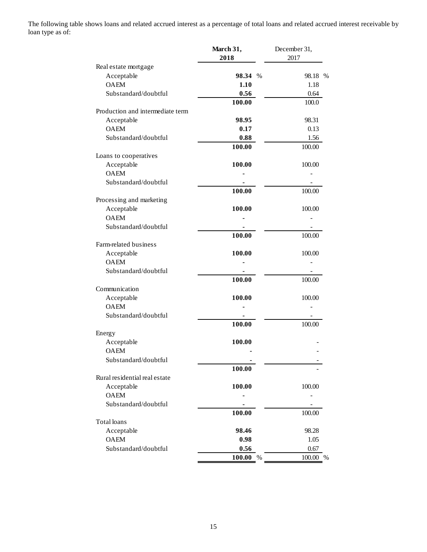The following table shows loans and related accrued interest as a percentage of total loans and related accrued interest receivable by loan type as of:

| 2018<br>2017<br>Real estate mortgage<br>Acceptable<br>98.34 %<br>98.18 %<br><b>OAEM</b><br>1.10<br>1.18<br>Substandard/doubtful<br>0.56<br>0.64<br>100.00<br>100.0<br>Production and intermediate term<br>Acceptable<br>98.95<br>98.31<br><b>OAEM</b><br>0.17<br>0.13<br>Substandard/doubtful<br>0.88<br>1.56<br>100.00<br>100.00<br>Loans to cooperatives<br>Acceptable<br>100.00<br>100.00<br><b>OAEM</b><br>Substandard/doubtful<br>100.00<br>100.00<br>Processing and marketing<br>Acceptable<br>100.00<br>100.00<br><b>OAEM</b><br>Substandard/doubtful<br>100.00<br>100.00<br>Farm-related business<br>Acceptable<br>100.00<br>100.00<br><b>OAEM</b><br>Substandard/doubtful<br>100.00<br>100.00<br>Communication<br>Acceptable<br>100.00<br>100.00<br><b>OAEM</b><br>Substandard/doubtful<br>100.00<br>100.00<br>Energy<br>Acceptable<br>100.00<br><b>OAEM</b><br>Substandard/doubtful<br>100.00<br>Rural residential real estate<br>100.00<br>100.00<br>Acceptable<br><b>OAEM</b><br>Substandard/doubtful<br>100.00<br>100.00<br>Total loans<br>Acceptable<br>98.46<br>98.28<br><b>OAEM</b><br>0.98<br>1.05<br>Substandard/doubtful<br>0.56<br>0.67<br>$\%$<br>100.00 %<br>100.00 | March 31, | December 31, |
|-------------------------------------------------------------------------------------------------------------------------------------------------------------------------------------------------------------------------------------------------------------------------------------------------------------------------------------------------------------------------------------------------------------------------------------------------------------------------------------------------------------------------------------------------------------------------------------------------------------------------------------------------------------------------------------------------------------------------------------------------------------------------------------------------------------------------------------------------------------------------------------------------------------------------------------------------------------------------------------------------------------------------------------------------------------------------------------------------------------------------------------------------------------------------------------------|-----------|--------------|
|                                                                                                                                                                                                                                                                                                                                                                                                                                                                                                                                                                                                                                                                                                                                                                                                                                                                                                                                                                                                                                                                                                                                                                                           |           |              |
|                                                                                                                                                                                                                                                                                                                                                                                                                                                                                                                                                                                                                                                                                                                                                                                                                                                                                                                                                                                                                                                                                                                                                                                           |           |              |
|                                                                                                                                                                                                                                                                                                                                                                                                                                                                                                                                                                                                                                                                                                                                                                                                                                                                                                                                                                                                                                                                                                                                                                                           |           |              |
|                                                                                                                                                                                                                                                                                                                                                                                                                                                                                                                                                                                                                                                                                                                                                                                                                                                                                                                                                                                                                                                                                                                                                                                           |           |              |
|                                                                                                                                                                                                                                                                                                                                                                                                                                                                                                                                                                                                                                                                                                                                                                                                                                                                                                                                                                                                                                                                                                                                                                                           |           |              |
|                                                                                                                                                                                                                                                                                                                                                                                                                                                                                                                                                                                                                                                                                                                                                                                                                                                                                                                                                                                                                                                                                                                                                                                           |           |              |
|                                                                                                                                                                                                                                                                                                                                                                                                                                                                                                                                                                                                                                                                                                                                                                                                                                                                                                                                                                                                                                                                                                                                                                                           |           |              |
|                                                                                                                                                                                                                                                                                                                                                                                                                                                                                                                                                                                                                                                                                                                                                                                                                                                                                                                                                                                                                                                                                                                                                                                           |           |              |
|                                                                                                                                                                                                                                                                                                                                                                                                                                                                                                                                                                                                                                                                                                                                                                                                                                                                                                                                                                                                                                                                                                                                                                                           |           |              |
|                                                                                                                                                                                                                                                                                                                                                                                                                                                                                                                                                                                                                                                                                                                                                                                                                                                                                                                                                                                                                                                                                                                                                                                           |           |              |
|                                                                                                                                                                                                                                                                                                                                                                                                                                                                                                                                                                                                                                                                                                                                                                                                                                                                                                                                                                                                                                                                                                                                                                                           |           |              |
|                                                                                                                                                                                                                                                                                                                                                                                                                                                                                                                                                                                                                                                                                                                                                                                                                                                                                                                                                                                                                                                                                                                                                                                           |           |              |
|                                                                                                                                                                                                                                                                                                                                                                                                                                                                                                                                                                                                                                                                                                                                                                                                                                                                                                                                                                                                                                                                                                                                                                                           |           |              |
|                                                                                                                                                                                                                                                                                                                                                                                                                                                                                                                                                                                                                                                                                                                                                                                                                                                                                                                                                                                                                                                                                                                                                                                           |           |              |
|                                                                                                                                                                                                                                                                                                                                                                                                                                                                                                                                                                                                                                                                                                                                                                                                                                                                                                                                                                                                                                                                                                                                                                                           |           |              |
|                                                                                                                                                                                                                                                                                                                                                                                                                                                                                                                                                                                                                                                                                                                                                                                                                                                                                                                                                                                                                                                                                                                                                                                           |           |              |
|                                                                                                                                                                                                                                                                                                                                                                                                                                                                                                                                                                                                                                                                                                                                                                                                                                                                                                                                                                                                                                                                                                                                                                                           |           |              |
|                                                                                                                                                                                                                                                                                                                                                                                                                                                                                                                                                                                                                                                                                                                                                                                                                                                                                                                                                                                                                                                                                                                                                                                           |           |              |
|                                                                                                                                                                                                                                                                                                                                                                                                                                                                                                                                                                                                                                                                                                                                                                                                                                                                                                                                                                                                                                                                                                                                                                                           |           |              |
|                                                                                                                                                                                                                                                                                                                                                                                                                                                                                                                                                                                                                                                                                                                                                                                                                                                                                                                                                                                                                                                                                                                                                                                           |           |              |
|                                                                                                                                                                                                                                                                                                                                                                                                                                                                                                                                                                                                                                                                                                                                                                                                                                                                                                                                                                                                                                                                                                                                                                                           |           |              |
|                                                                                                                                                                                                                                                                                                                                                                                                                                                                                                                                                                                                                                                                                                                                                                                                                                                                                                                                                                                                                                                                                                                                                                                           |           |              |
|                                                                                                                                                                                                                                                                                                                                                                                                                                                                                                                                                                                                                                                                                                                                                                                                                                                                                                                                                                                                                                                                                                                                                                                           |           |              |
|                                                                                                                                                                                                                                                                                                                                                                                                                                                                                                                                                                                                                                                                                                                                                                                                                                                                                                                                                                                                                                                                                                                                                                                           |           |              |
|                                                                                                                                                                                                                                                                                                                                                                                                                                                                                                                                                                                                                                                                                                                                                                                                                                                                                                                                                                                                                                                                                                                                                                                           |           |              |
|                                                                                                                                                                                                                                                                                                                                                                                                                                                                                                                                                                                                                                                                                                                                                                                                                                                                                                                                                                                                                                                                                                                                                                                           |           |              |
|                                                                                                                                                                                                                                                                                                                                                                                                                                                                                                                                                                                                                                                                                                                                                                                                                                                                                                                                                                                                                                                                                                                                                                                           |           |              |
|                                                                                                                                                                                                                                                                                                                                                                                                                                                                                                                                                                                                                                                                                                                                                                                                                                                                                                                                                                                                                                                                                                                                                                                           |           |              |
|                                                                                                                                                                                                                                                                                                                                                                                                                                                                                                                                                                                                                                                                                                                                                                                                                                                                                                                                                                                                                                                                                                                                                                                           |           |              |
|                                                                                                                                                                                                                                                                                                                                                                                                                                                                                                                                                                                                                                                                                                                                                                                                                                                                                                                                                                                                                                                                                                                                                                                           |           |              |
|                                                                                                                                                                                                                                                                                                                                                                                                                                                                                                                                                                                                                                                                                                                                                                                                                                                                                                                                                                                                                                                                                                                                                                                           |           |              |
|                                                                                                                                                                                                                                                                                                                                                                                                                                                                                                                                                                                                                                                                                                                                                                                                                                                                                                                                                                                                                                                                                                                                                                                           |           |              |
|                                                                                                                                                                                                                                                                                                                                                                                                                                                                                                                                                                                                                                                                                                                                                                                                                                                                                                                                                                                                                                                                                                                                                                                           |           |              |
|                                                                                                                                                                                                                                                                                                                                                                                                                                                                                                                                                                                                                                                                                                                                                                                                                                                                                                                                                                                                                                                                                                                                                                                           |           |              |
|                                                                                                                                                                                                                                                                                                                                                                                                                                                                                                                                                                                                                                                                                                                                                                                                                                                                                                                                                                                                                                                                                                                                                                                           |           |              |
|                                                                                                                                                                                                                                                                                                                                                                                                                                                                                                                                                                                                                                                                                                                                                                                                                                                                                                                                                                                                                                                                                                                                                                                           |           |              |
|                                                                                                                                                                                                                                                                                                                                                                                                                                                                                                                                                                                                                                                                                                                                                                                                                                                                                                                                                                                                                                                                                                                                                                                           |           |              |
|                                                                                                                                                                                                                                                                                                                                                                                                                                                                                                                                                                                                                                                                                                                                                                                                                                                                                                                                                                                                                                                                                                                                                                                           |           |              |
|                                                                                                                                                                                                                                                                                                                                                                                                                                                                                                                                                                                                                                                                                                                                                                                                                                                                                                                                                                                                                                                                                                                                                                                           |           |              |
|                                                                                                                                                                                                                                                                                                                                                                                                                                                                                                                                                                                                                                                                                                                                                                                                                                                                                                                                                                                                                                                                                                                                                                                           |           |              |
|                                                                                                                                                                                                                                                                                                                                                                                                                                                                                                                                                                                                                                                                                                                                                                                                                                                                                                                                                                                                                                                                                                                                                                                           |           |              |
|                                                                                                                                                                                                                                                                                                                                                                                                                                                                                                                                                                                                                                                                                                                                                                                                                                                                                                                                                                                                                                                                                                                                                                                           |           |              |
|                                                                                                                                                                                                                                                                                                                                                                                                                                                                                                                                                                                                                                                                                                                                                                                                                                                                                                                                                                                                                                                                                                                                                                                           |           |              |
|                                                                                                                                                                                                                                                                                                                                                                                                                                                                                                                                                                                                                                                                                                                                                                                                                                                                                                                                                                                                                                                                                                                                                                                           |           |              |
|                                                                                                                                                                                                                                                                                                                                                                                                                                                                                                                                                                                                                                                                                                                                                                                                                                                                                                                                                                                                                                                                                                                                                                                           |           |              |
|                                                                                                                                                                                                                                                                                                                                                                                                                                                                                                                                                                                                                                                                                                                                                                                                                                                                                                                                                                                                                                                                                                                                                                                           |           |              |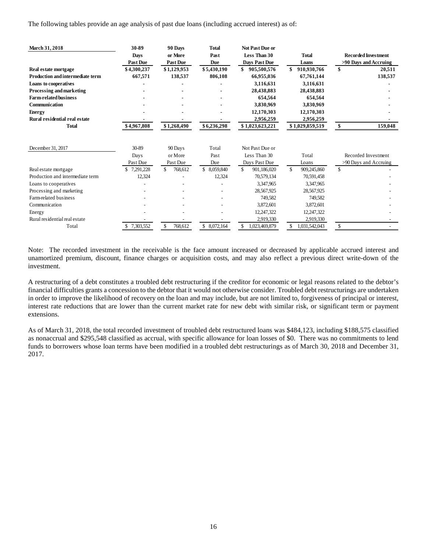The following tables provide an age analysis of past due loans (including accrued interest) as of:

| March 31, 2018                          | 30-89           | 90 Days         | <b>Total</b>     | <b>Not Past Due or</b> |                    |                            |         |
|-----------------------------------------|-----------------|-----------------|------------------|------------------------|--------------------|----------------------------|---------|
|                                         | <b>Days</b>     | or More         | Past             | Less Than 30           | <b>Total</b>       | <b>Recorded Investment</b> |         |
|                                         | Past Due        | <b>Past Due</b> | Due              | <b>Days Past Due</b>   | Loans              | >90 Days and Accruing      |         |
| Real estate mortgage                    | \$4,300,237     | \$1,129,953     | \$5,430,190      | \$<br>905,500,576      | 910,930,766        | \$                         | 20,511  |
| <b>Production and intermediate term</b> | 667,571         | 138,537         | 806.108          | 66,955,036             | 67,761,144         |                            | 138,537 |
| Loans to cooperatives                   |                 |                 |                  | 3,116,631              | 3,116,631          |                            |         |
| Processing and marketing                |                 |                 |                  | 28,438,883             | 28,438,883         |                            |         |
| <b>Farm-related business</b>            |                 |                 |                  | 654,564                | 654,564            |                            |         |
| Communication                           |                 |                 |                  | 3,830,969              | 3,830,969          |                            |         |
| <b>Energy</b>                           |                 |                 |                  | 12,170,303             | 12,170,303         |                            |         |
| Rural residential real estate           |                 |                 |                  | 2,956,259              | 2,956,259          |                            |         |
| <b>Total</b>                            | \$4,967,808     | \$1,268,490     | \$6,236,298      | \$1,023,623,221        | \$1,029,859,519    | S                          | 159,048 |
| December 31, 2017                       | 30-89           | 90 Days         | Total            | Not Past Due or        |                    |                            |         |
|                                         | Days            | or More         | Past             | Less Than 30           | Total              | Recorded Investment        |         |
|                                         | Past Due        | Past Due        | Due              | Days Past Due          | Loans              | >90 Days and Accruing      |         |
| Real estate mortgage                    | 7,291,228<br>S. | \$.<br>768,612  | \$.<br>8,059,840 | \$.<br>901,186,020     | \$.<br>909,245,860 | \$                         |         |
| Production and intermediate term        | 12,324          |                 | 12,324           | 70,579,134             | 70,591,458         |                            |         |
| Loans to cooperatives                   |                 |                 |                  | 3,347,965              | 3,347,965          |                            |         |
| Processing and marketing                |                 |                 |                  | 28,567,925             | 28,567,925         |                            |         |
| Farm-related business                   |                 |                 |                  | 749.582                | 749,582            |                            |         |
| Communication                           |                 |                 |                  | 3,872,601              | 3,872,601          |                            |         |
| Energy                                  |                 |                 |                  | 12,247,322             | 12,247,322         |                            |         |
| Rural residential real estate           |                 |                 |                  | 2,919,330              | 2,919,330          |                            |         |
| Total                                   | \$7,303,552     | 768,612<br>\$   | \$8,072,164      | 1,023,469,879<br>\$    | 1,031,542,043      | \$                         |         |

Note: The recorded investment in the receivable is the face amount increased or decreased by applicable accrued interest and unamortized premium, discount, finance charges or acquisition costs, and may also reflect a previous direct write-down of the investment.

A restructuring of a debt constitutes a troubled debt restructuring if the creditor for economic or legal reasons related to the debtor's financial difficulties grants a concession to the debtor that it would not otherwise consider. Troubled debt restructurings are undertaken in order to improve the likelihood of recovery on the loan and may include, but are not limited to, forgiveness of principal or interest, interest rate reductions that are lower than the current market rate for new debt with similar risk, or significant term or payment extensions.

As of March 31, 2018, the total recorded investment of troubled debt restructured loans was \$484,123, including \$188,575 classified as nonaccrual and \$295,548 classified as accrual, with specific allowance for loan losses of \$0. There was no commitments to lend funds to borrowers whose loan terms have been modified in a troubled debt restructurings as of March 30, 2018 and December 31, 2017.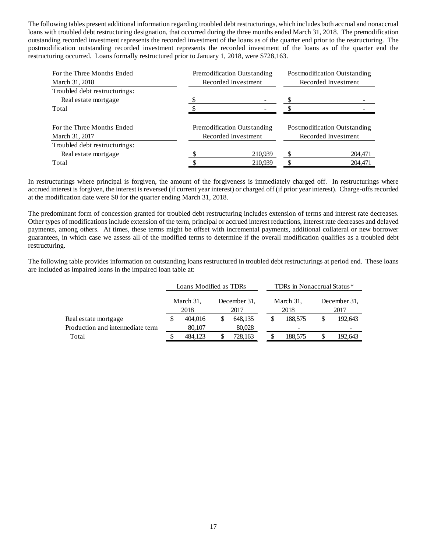The following tables present additional information regarding troubled debt restructurings, which includes both accrual and nonaccrual loans with troubled debt restructuring designation, that occurred during the three months ended March 31, 2018. The premodification outstanding recorded investment represents the recorded investment of the loans as of the quarter end prior to the restructuring. The postmodification outstanding recorded investment represents the recorded investment of the loans as of the quarter end the restructuring occurred. Loans formally restructured prior to January 1, 2018, were \$728,163.

| For the Three Months Ended<br>March 31, 2018 | Premodification Outstanding<br>Recorded Investment | Postmodification Outstanding<br>Recorded Investment |         |  |
|----------------------------------------------|----------------------------------------------------|-----------------------------------------------------|---------|--|
| Troubled debt restructurings:                |                                                    |                                                     |         |  |
| Real estate mortgage                         |                                                    |                                                     |         |  |
| Total                                        |                                                    |                                                     |         |  |
| For the Three Months Ended<br>March 31, 2017 | Premodification Outstanding<br>Recorded Investment | Postmodification Outstanding<br>Recorded Investment |         |  |
| Troubled debt restructurings:                |                                                    |                                                     |         |  |
| Real estate mortgage                         | 210,939                                            | S                                                   | 204,471 |  |
| Total                                        | 210,939                                            |                                                     | 204,471 |  |

In restructurings where principal is forgiven, the amount of the forgiveness is immediately charged off. In restructurings where accrued interest is forgiven, the interest is reversed (if current year interest) or charged off (if prior year interest). Charge-offs recorded at the modification date were \$0 for the quarter ending March 31, 2018.

The predominant form of concession granted for troubled debt restructuring includes extension of terms and interest rate decreases. Other types of modifications include extension of the term, principal or accrued interest reductions, interest rate decreases and delayed payments, among others. At times, these terms might be offset with incremental payments, additional collateral or new borrower guarantees, in which case we assess all of the modified terms to determine if the overall modification qualifies as a troubled debt restructuring.

The following table provides information on outstanding loans restructured in troubled debt restructurings at period end. These loans are included as impaired loans in the impaired loan table at:

|                                  | Loans Modified as TDRs |         |                      |         |                   | TDRs in Nonaccrual Status* |                      |         |  |
|----------------------------------|------------------------|---------|----------------------|---------|-------------------|----------------------------|----------------------|---------|--|
|                                  | March 31,<br>2018      |         | December 31.<br>2017 |         | March 31,<br>2018 |                            | December 31.<br>2017 |         |  |
| Real estate mortgage             |                        | 404,016 |                      | 648,135 |                   | 188,575                    |                      | 192,643 |  |
| Production and intermediate term |                        | 80,107  |                      | 80,028  |                   |                            |                      |         |  |
| Total                            | 484.123                |         |                      | 728,163 |                   | 188,575                    |                      | 192,643 |  |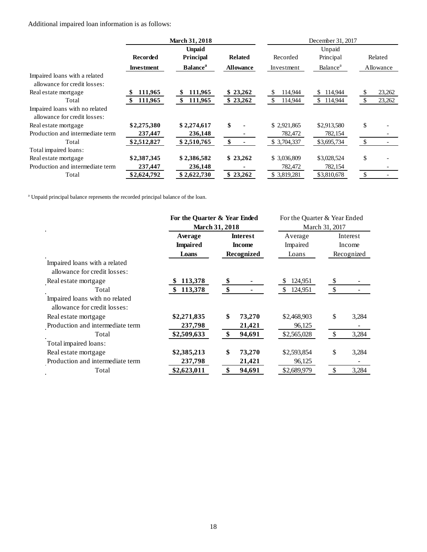Additional impaired loan information is as follows:

|                                                                |                   | <b>March 31, 2018</b>       |                  | December 31, 2017 |                             |               |           |  |
|----------------------------------------------------------------|-------------------|-----------------------------|------------------|-------------------|-----------------------------|---------------|-----------|--|
|                                                                |                   | <b>Unpaid</b>               |                  |                   |                             |               |           |  |
|                                                                | <b>Recorded</b>   | Principal                   | <b>Related</b>   | Recorded          | Principal                   |               | Related   |  |
|                                                                | <b>Investment</b> | <b>Balance</b> <sup>a</sup> | <b>Allowance</b> | Investment        | <b>Balance</b> <sup>a</sup> |               | Allowance |  |
| Impaired loans with a related<br>allowance for credit losses:  |                   |                             |                  |                   |                             |               |           |  |
| Real estate mortgage                                           | 111,965           | 111,965                     | \$23,262         | 114,944           | \$114,944                   | <sup>\$</sup> | 23,262    |  |
| Total                                                          | 111,965           | 111,965                     | \$23,262         | 114,944           | \$114,944                   | <sup>\$</sup> | 23,262    |  |
| Impaired loans with no related<br>allowance for credit losses: |                   |                             |                  |                   |                             |               |           |  |
| Real estate mortgage                                           | \$2,275,380       | \$2,274,617                 | \$               | \$2,921,865       | \$2,913,580                 | \$            |           |  |
| Production and intermediate term                               | 237,447           | 236,148                     |                  | 782,472           | 782,154                     |               |           |  |
| Total                                                          | \$2,512,827       | \$2,510,765                 | \$               | \$3,704,337       | \$3,695,734                 | \$            |           |  |
| Total impaired loans:                                          |                   |                             |                  |                   |                             |               |           |  |
| Real estate mortgage                                           | \$2,387,345       | \$2,386,582                 | \$23,262         | \$ 3,036,809      | \$3,028,524                 | \$            |           |  |
| Production and intermediate term                               | 237,447           | 236,148                     |                  | 782,472           | 782,154                     |               |           |  |
| Total                                                          | \$2,624,792       | \$2,622,730                 | \$23,262         | \$3,819,281       | \$3,810,678                 | $\mathcal{S}$ |           |  |

<sup>a</sup> Unpaid principal balance represents the recorded principal balance of the loan.

|                                  | For the Quarter & Year Ended |                 | For the Quarter & Year Ended |                        |  |  |
|----------------------------------|------------------------------|-----------------|------------------------------|------------------------|--|--|
| $\bullet$                        |                              | March 31, 2018  | March 31, 2017               |                        |  |  |
|                                  | Average                      | <b>Interest</b> | Average                      | Interest               |  |  |
|                                  | <b>Impaired</b>              | <b>Income</b>   | Impaired                     | Income                 |  |  |
|                                  | Loans                        | Recognized      | Loans                        | Recognized             |  |  |
| Impaired loans with a related    |                              |                 |                              |                        |  |  |
| allowance for credit losses:     |                              |                 |                              |                        |  |  |
| Real estate mortgage             | 113,378                      | \$              | 124,951                      | \$                     |  |  |
| Total                            | 113,378                      | \$              | 124,951<br>\$                | \$                     |  |  |
| Impaired loans with no related   |                              |                 |                              |                        |  |  |
| allowance for credit losses:     |                              |                 |                              |                        |  |  |
| Real estate mortgage             | \$2,271,835                  | \$<br>73,270    | \$2,468,903                  | \$<br>3,284            |  |  |
| Production and intermediate term | 237,798                      | 21,421          | 96,125                       |                        |  |  |
| Total                            | \$2,509,633                  | \$<br>94,691    | \$2,565,028                  | <sup>\$</sup><br>3,284 |  |  |
| Total impaired loans:            |                              |                 |                              |                        |  |  |
| Real estate mortgage             | \$2,385,213                  | \$<br>73,270    | \$2,593,854                  | \$<br>3,284            |  |  |
| Production and intermediate term | 237,798                      | 21,421          | 96,125                       |                        |  |  |
| Total                            | \$2,623,011                  | \$<br>94,691    | \$2,689,979                  | 3,284<br>\$            |  |  |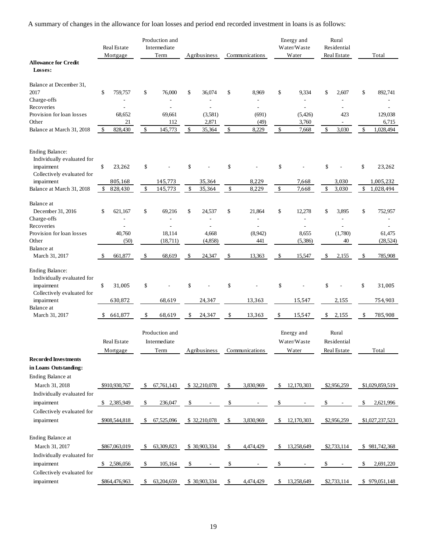A summary of changes in the allowance for loan losses and period end recorded investment in loans is as follows:

|                                                                                           |     | Real Estate<br>Mortgage |     | Production and<br>Intermediate<br>Term | Agribusiness  |    | Communications           |    | Energy and<br>Water/Waste<br>Water | Rural<br>Residential<br>Real Estate | Total           |
|-------------------------------------------------------------------------------------------|-----|-------------------------|-----|----------------------------------------|---------------|----|--------------------------|----|------------------------------------|-------------------------------------|-----------------|
| <b>Allowance for Credit</b><br>Losses:                                                    |     |                         |     |                                        |               |    |                          |    |                                    |                                     |                 |
| Balance at December 31,                                                                   |     |                         |     |                                        |               |    |                          |    |                                    |                                     |                 |
| 2017                                                                                      | \$  | 759,757                 | \$  | 76,000                                 | \$<br>36,074  | \$ | 8,969                    | \$ | 9,334                              | \$<br>2,607                         | \$<br>892,741   |
| Charge-offs<br>Recoveries                                                                 |     |                         |     |                                        |               |    | $\overline{\phantom{0}}$ |    | ÷,<br>$\overline{a}$               | $\qquad \qquad \blacksquare$        |                 |
| Provision for loan losses                                                                 |     | 68,652                  |     | 69,661                                 | (3,581)       |    | (691)                    |    | (5,426)                            | 423                                 | 129,038         |
| Other                                                                                     |     | 21                      |     | 112                                    | 2,871         |    | (49)                     |    | 3,760                              |                                     | 6,715           |
| Balance at March 31, 2018                                                                 | \$  | 828,430                 | \$  | 145,773                                | \$<br>35,364  | \$ | 8,229                    | \$ | 7,668                              | \$<br>3,030                         | \$<br>1,028,494 |
| Ending Balance:<br>Individually evaluated for<br>impairment<br>Collectively evaluated for | \$  | 23,262                  | \$  |                                        | \$            | \$ |                          | \$ |                                    | \$                                  | \$<br>23,262    |
| impairment                                                                                |     | 805,168                 |     | 145,773                                | 35,364        |    | 8,229                    |    | 7,668                              | 3,030                               | 1,005,232       |
| Balance at March 31, 2018                                                                 | \$  | 828,430                 | \$  | 145,773                                | \$<br>35,364  | \$ | 8,229                    | \$ | 7,668                              | \$<br>3,030                         | \$<br>1,028,494 |
| Balance at<br>December 31, 2016<br>Charge-offs                                            | \$  | 621.167                 | \$  | 69,216                                 | \$<br>24,537  | \$ | 21,864                   | \$ | 12,278<br>÷                        | \$<br>3,895                         | \$<br>752,957   |
| Recoveries                                                                                |     |                         |     |                                        |               |    | L,                       |    |                                    |                                     |                 |
| Provision for loan losses                                                                 |     | 40,760                  |     | 18,114                                 | 4,668         |    | (8,942)                  |    | 8,655                              | (1,780)                             | 61,475          |
| Other                                                                                     |     | (50)                    |     | (18,711)                               | (4,858)       |    | 441                      |    | (5,386)                            | 40                                  | (28, 524)       |
| Balance at<br>March 31, 2017                                                              | \$. | 661,877                 | \$  | 68,619                                 | \$<br>24,347  | \$ | 13,363                   | \$ | 15,547                             | \$<br>2,155                         | \$<br>785,908   |
| <b>Ending Balance:</b><br>Individually evaluated for<br>impairment                        | \$  | 31,005                  | \$  |                                        | \$            | \$ |                          | \$ |                                    | \$                                  | \$<br>31,005    |
| Collectively evaluated for<br>impairment                                                  |     | 630,872                 |     | 68,619                                 | 24,347        |    | 13,363                   |    | 15,547                             | 2,155                               | 754,903         |
| Balance at                                                                                |     |                         |     |                                        |               |    |                          |    |                                    |                                     |                 |
| March 31, 2017                                                                            | \$  | 661,877                 | \$  | 68,619                                 | \$<br>24,347  | \$ | 13,363                   | \$ | 15,547                             | \$<br>2,155                         | \$<br>785,908   |
|                                                                                           |     | Real Estate<br>Mortgage |     | Production and<br>Intermediate<br>Term | Agribusiness  |    | Communications           |    | Energy and<br>Water/Waste<br>Water | Rural<br>Residential<br>Real Estate | Total           |
| <b>Recorded Investments</b>                                                               |     |                         |     |                                        |               |    |                          |    |                                    |                                     |                 |
| in Loans Outstanding:                                                                     |     |                         |     |                                        |               |    |                          |    |                                    |                                     |                 |
| Ending Balance at                                                                         |     |                         |     |                                        |               |    |                          |    |                                    |                                     |                 |
| March 31, 2018                                                                            |     | \$910,930,767           | \$  | 67,761,143                             | \$32,210,078  | \$ | 3,830,969                | \$ | 12,170,303                         | \$2,956,259                         | \$1,029,859,519 |
| Individually evaluated for<br>impairment                                                  |     | \$ 2,385,949            | \$  | 236,047                                | \$            | \$ |                          |    |                                    | \$                                  | \$<br>2,621,996 |
| Collectively evaluated for                                                                |     |                         |     |                                        |               |    |                          |    |                                    |                                     |                 |
| impairment                                                                                |     | \$908,544,818           | \$. | 67,525,096                             | \$ 32,210,078 | -S | 3,830,969                | \$ | 12,170,303                         | \$2,956,259                         | \$1,027,237,523 |
| Ending Balance at<br>March 31, 2017<br>Individually evaluated for                         |     | \$867,063,019           | \$  | 63,309,823                             | \$30,903,334  | -S | 4,474,429                | \$ | 13,258,649                         | \$2,733,114                         | \$981,742,368   |
| impairment                                                                                |     | \$2,586,056             | \$  | 105,164                                | \$            | \$ |                          | S  |                                    | \$                                  | \$<br>2,691,220 |
| Collectively evaluated for<br>impairment                                                  |     | \$864,476,963           | \$  | 63,204,659                             | \$30,903,334  | \$ | 4,474,429                | \$ | 13,258,649                         | \$2,733,114                         | \$979,051,148   |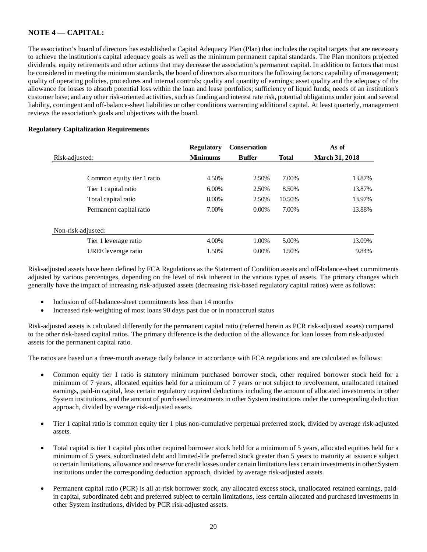# **NOTE 4 –– CAPITAL:**

The association's board of directors has established a Capital Adequacy Plan (Plan) that includes the capital targets that are necessary to achieve the institution's capital adequacy goals as well as the minimum permanent capital standards. The Plan monitors projected dividends, equity retirements and other actions that may decrease the association's permanent capital. In addition to factors that must be considered in meeting the minimum standards, the board of directors also monitors the following factors: capability of management; quality of operating policies, procedures and internal controls; quality and quantity of earnings; asset quality and the adequacy of the allowance for losses to absorb potential loss within the loan and lease portfolios; sufficiency of liquid funds; needs of an institution's customer base; and any other risk-oriented activities, such as funding and interest rate risk, potential obligations under joint and several liability, contingent and off-balance-sheet liabilities or other conditions warranting additional capital. At least quarterly, management reviews the association's goals and objectives with the board.

## **Regulatory Capitalization Requirements**

|                            | <b>Regulatory</b> | Conservation  | As of        |                       |  |
|----------------------------|-------------------|---------------|--------------|-----------------------|--|
| Risk-adjusted:             | <b>Minimums</b>   | <b>Buffer</b> | <b>Total</b> | <b>March 31, 2018</b> |  |
|                            |                   |               |              |                       |  |
| Common equity tier 1 ratio | 4.50%             | 2.50%         | 7.00%        | 13.87%                |  |
| Tier 1 capital ratio       | 6.00%             | 2.50%         | 8.50%        | 13.87%                |  |
| Total capital ratio        | 8.00%             | 2.50%         | 10.50%       | 13.97%                |  |
| Permanent capital ratio    | 7.00%             | $0.00\%$      | 7.00%        | 13.88%                |  |
| Non-risk-adjusted:         |                   |               |              |                       |  |
| Tier 1 leverage ratio      | 4.00%             | 1.00%         | 5.00%        | 13.09%                |  |
| UREE leverage ratio        | 1.50%             | $0.00\%$      | 1.50%        | 9.84%                 |  |

Risk-adjusted assets have been defined by FCA Regulations as the Statement of Condition assets and off-balance-sheet commitments adjusted by various percentages, depending on the level of risk inherent in the various types of assets. The primary changes which generally have the impact of increasing risk-adjusted assets (decreasing risk-based regulatory capital ratios) were as follows:

- Inclusion of off-balance-sheet commitments less than 14 months
- Increased risk-weighting of most loans 90 days past due or in nonaccrual status

Risk-adjusted assets is calculated differently for the permanent capital ratio (referred herein as PCR risk-adjusted assets) compared to the other risk-based capital ratios. The primary difference is the deduction of the allowance for loan losses from risk-adjusted assets for the permanent capital ratio.

The ratios are based on a three-month average daily balance in accordance with FCA regulations and are calculated as follows:

- Common equity tier 1 ratio is statutory minimum purchased borrower stock, other required borrower stock held for a minimum of 7 years, allocated equities held for a minimum of 7 years or not subject to revolvement, unallocated retained earnings, paid-in capital, less certain regulatory required deductions including the amount of allocated investments in other System institutions, and the amount of purchased investments in other System institutions under the corresponding deduction approach, divided by average risk-adjusted assets.
- Tier 1 capital ratio is common equity tier 1 plus non-cumulative perpetual preferred stock, divided by average risk-adjusted assets.
- Total capital is tier 1 capital plus other required borrower stock held for a minimum of 5 years, allocated equities held for a minimum of 5 years, subordinated debt and limited-life preferred stock greater than 5 years to maturity at issuance subject to certain limitations, allowance and reserve for credit losses under certain limitations less certain investments in other System institutions under the corresponding deduction approach, divided by average risk-adjusted assets.
- Permanent capital ratio (PCR) is all at-risk borrower stock, any allocated excess stock, unallocated retained earnings, paidin capital, subordinated debt and preferred subject to certain limitations, less certain allocated and purchased investments in other System institutions, divided by PCR risk-adjusted assets.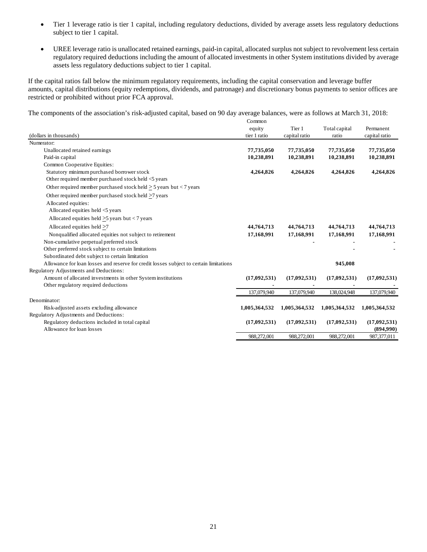- Tier 1 leverage ratio is tier 1 capital, including regulatory deductions, divided by average assets less regulatory deductions subject to tier 1 capital.
- UREE leverage ratio is unallocated retained earnings, paid-in capital, allocated surplus not subject to revolvement less certain regulatory required deductions including the amount of allocated investments in other System institutions divided by average assets less regulatory deductions subject to tier 1 capital.

If the capital ratios fall below the minimum regulatory requirements, including the capital conservation and leverage buffer amounts, capital distributions (equity redemptions, dividends, and patronage) and discretionary bonus payments to senior offices are restricted or prohibited without prior FCA approval.

The components of the association's risk-adjusted capital, based on 90 day average balances, were as follows at March 31, 2018:

|                                                                                        | Common        |               |               |               |
|----------------------------------------------------------------------------------------|---------------|---------------|---------------|---------------|
|                                                                                        | equity        | Tier 1        | Total capital | Permanent     |
| (dollars in thousands)                                                                 | tier 1 ratio  | capital ratio | ratio         | capital ratio |
| Numerator:                                                                             |               |               |               |               |
| Unallocated retained earnings                                                          | 77,735,050    | 77,735,050    | 77,735,050    | 77,735,050    |
| Paid-in capital                                                                        | 10,238,891    | 10,238,891    | 10,238,891    | 10,238,891    |
| Common Cooperative Equities:                                                           |               |               |               |               |
| Statutory minimum purchased borrower stock                                             | 4,264,826     | 4,264,826     | 4,264,826     | 4,264,826     |
| Other required member purchased stock held <5 years                                    |               |               |               |               |
| Other required member purchased stock held $\geq$ 5 years but < 7 years                |               |               |               |               |
| Other required member purchased stock held >7 years                                    |               |               |               |               |
| Allocated equities:                                                                    |               |               |               |               |
| Allocated equities held <5 years                                                       |               |               |               |               |
| Allocated equities held $>5$ years but $< 7$ years                                     |               |               |               |               |
| Allocated equities held $>7$                                                           | 44,764,713    | 44,764,713    | 44,764,713    | 44,764,713    |
| Nonqualified allocated equities not subject to retirement                              | 17,168,991    | 17,168,991    | 17,168,991    | 17,168,991    |
| Non-cumulative perpetual preferred stock                                               |               |               |               |               |
| Other preferred stock subject to certain limitations                                   |               |               |               |               |
| Subordinated debt subject to certain limitation                                        |               |               |               |               |
| Allowance for loan losses and reserve for credit losses subject to certain limitations |               |               | 945,008       |               |
| Regulatory Adjustments and Deductions:                                                 |               |               |               |               |
| Amount of allocated investments in other System institutions                           | (17,092,531)  | (17,092,531)  | (17,092,531)  | (17,092,531)  |
| Other regulatory required deductions                                                   |               |               |               |               |
|                                                                                        | 137,079,940   | 137,079,940   | 138,024,948   | 137,079,940   |
| Denominator:                                                                           |               |               |               |               |
| Risk-adjusted assets excluding allowance                                               | 1,005,364,532 | 1,005,364,532 | 1,005,364,532 | 1,005,364,532 |
| Regulatory Adjustments and Deductions:                                                 |               |               |               |               |
| Regulatory deductions included in total capital                                        | (17,092,531)  | (17,092,531)  | (17,092,531)  | (17,092,531)  |
| Allowance for loan losses                                                              |               |               |               | (894,990)     |
|                                                                                        | 988,272,001   | 988,272,001   | 988,272,001   | 987,377,011   |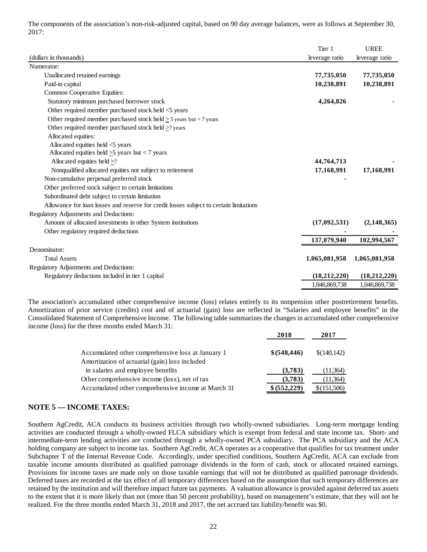The components of the association's non-risk-adjusted capital, based on 90 day average balances, were as follows at September 30, 2017:

|                                                                                        | Tier 1         | <b>UREE</b>    |
|----------------------------------------------------------------------------------------|----------------|----------------|
| (dollars in thousands)                                                                 | leverage ratio | leverage ratio |
| Numerator:                                                                             |                |                |
| Unallocated retained earnings                                                          | 77,735,050     | 77,735,050     |
| Paid-in capital                                                                        | 10,238,891     | 10,238,891     |
| Common Cooperative Equities:                                                           |                |                |
| Statutory minimum purchased borrower stock                                             | 4,264,826      |                |
| Other required member purchased stock held <5 years                                    |                |                |
| Other required member purchased stock held $>$ 5 years but < 7 years                   |                |                |
| Other required member purchased stock held $\geq$ 7 years                              |                |                |
| Allocated equities:                                                                    |                |                |
| Allocated equities held <5 years                                                       |                |                |
| Allocated equities held $>5$ years but < 7 years                                       |                |                |
| Allocated equities held >7                                                             | 44,764,713     |                |
| Nonqualified allocated equities not subject to retirement                              | 17,168,991     | 17,168,991     |
| Non-cumulative perpetual preferred stock                                               |                |                |
| Other preferred stock subject to certain limitations                                   |                |                |
| Subordinated debt subject to certain limitation                                        |                |                |
| Allowance for loan losses and reserve for credit losses subject to certain limitations |                |                |
| Regulatory Adjustments and Deductions:                                                 |                |                |
| Amount of allocated investments in other System institutions                           | (17,092,531)   | (2,148,365)    |
| Other regulatory required deductions                                                   |                |                |
|                                                                                        | 137,079,940    | 102,994,567    |
| Denominator:                                                                           |                |                |
| <b>Total Assets</b>                                                                    | 1,065,081,958  | 1,065,081,958  |
| Regulatory Adjustments and Deductions:                                                 |                |                |
| Regulatory deductions included in tier 1 capital                                       | (18, 212, 220) | (18, 212, 220) |
|                                                                                        | 1,046,869,738  | 1,046,869,738  |

The association's accumulated other comprehensive income (loss) relates entirely to its nonpension other postretirement benefits. Amortization of prior service (credits) cost and of actuarial (gain) loss are reflected in "Salaries and employee benefits" in the Consolidated Statement of Comprehensive Income. The following table summarizes the changes in accumulated other comprehensive income (loss) for the three months ended March 31:

|                                                    | 2018          | 2017         |
|----------------------------------------------------|---------------|--------------|
| Accumulated other comprehensive loss at January 1  | \$ (548, 446) | \$(140, 142) |
| Amortization of actuarial (gain) loss included     |               |              |
| in salaries and employee benefits                  | (3,783)       | (11, 364)    |
| Other comprehensive income (loss), net of tax      | (3,783)       | (11, 364)    |
| Accumulated other comprehensive income at March 31 | \$ (552, 229) | \$(151,506)  |

## **NOTE 5 — INCOME TAXES:**

Southern AgCredit, ACA conducts its business activities through two wholly-owned subsidiaries. Long-term mortgage lending activities are conducted through a wholly-owned FLCA subsidiary which is exempt from federal and state income tax. Short- and intermediate-term lending activities are conducted through a wholly-owned PCA subsidiary. The PCA subsidiary and the ACA holding company are subject to income tax. Southern AgCredit, ACA operates as a cooperative that qualifies for tax treatment under Subchapter T of the Internal Revenue Code. Accordingly, under specified conditions, Southern AgCredit, ACA can exclude from taxable income amounts distributed as qualified patronage dividends in the form of cash, stock or allocated retained earnings. Provisions for income taxes are made only on those taxable earnings that will not be distributed as qualified patronage dividends. Deferred taxes are recorded at the tax effect of all temporary differences based on the assumption that such temporary differences are retained by the institution and will therefore impact future tax payments. A valuation allowance is provided against deferred tax assets to the extent that it is more likely than not (more than 50 percent probability), based on management's estimate, that they will not be realized. For the three months ended March 31, 2018 and 2017, the net accrued tax liability/benefit was \$0.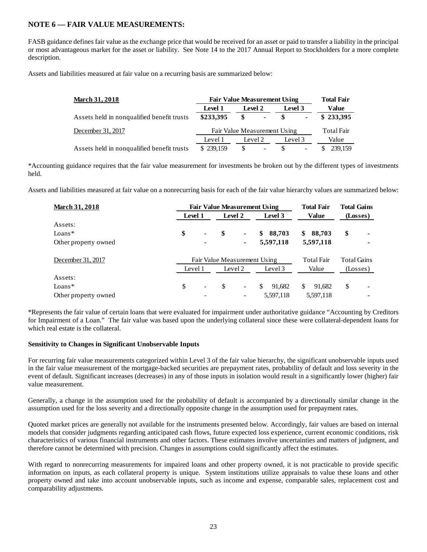# **NOTE 6 — FAIR VALUE MEASUREMENTS:**

FASB guidance defines fair value as the exchange price that would be received for an asset or paid to transfer a liability in the principal or most advantageous market for the asset or liability. See Note 14 to the 2017 Annual Report to Stockholders for a more complete description.

Assets and liabilities measured at fair value on a recurring basis are summarized below:

| <b>March 31, 2018</b>                      | <b>Fair Value Measurement Using</b> | <b>Total Fair</b>                   |         |                   |  |
|--------------------------------------------|-------------------------------------|-------------------------------------|---------|-------------------|--|
|                                            | Level 1                             | Level 2                             | Level 3 | Value             |  |
| Assets held in nonqualified benefit trusts | \$233,395                           | S<br>$\blacksquare$                 | SS.     | \$233,395         |  |
| December 31, 2017                          |                                     | Fair Value Measurement Using        |         | <b>Total Fair</b> |  |
|                                            | Level 1                             | Level 2                             | Level 3 | Value             |  |
| Assets held in nonqualified benefit trusts | \$239,159                           | \$.<br>$\qquad \qquad \blacksquare$ |         | 239.159           |  |

\*Accounting guidance requires that the fair value measurement for investments be broken out by the different types of investments held.

Assets and liabilities measured at fair value on a nonrecurring basis for each of the fair value hierarchy values are summarized below:

| <b>March 31, 2018</b> | <b>Fair Value Measurement Using</b> |    |                          |                        |                    | <b>Total Gains</b> |
|-----------------------|-------------------------------------|----|--------------------------|------------------------|--------------------|--------------------|
|                       | Level 1                             |    | Level 2                  | Level 3                | Value              | (Losses)           |
| Assets:               |                                     |    |                          |                        |                    |                    |
| $Loans*$              | \$<br>٠                             | \$ |                          | 88,703<br>\$           | 88,703<br>\$       | \$<br>۰            |
| Other property owned  | ٠                                   |    |                          | 5,597,118              | 5,597,118          |                    |
| December 31, 2017     | Fair Value Measurement Using        |    |                          | <b>Total Fair</b>      | <b>Total Gains</b> |                    |
|                       | Level 1                             |    | Level 2                  | Level 3                | Value              | (Losses)           |
| Assets:               |                                     |    |                          |                        |                    |                    |
| $Loans*$              | \$<br>$\overline{\phantom{a}}$      | S  | $\overline{\phantom{a}}$ | $\mathbb{S}$<br>91.682 | S.<br>91.682       | \$                 |
| Other property owned  |                                     |    | -                        | 5,597,118              | 5,597,118          |                    |

\*Represents the fair value of certain loans that were evaluated for impairment under authoritative guidance "Accounting by Creditors for Impairment of a Loan." The fair value was based upon the underlying collateral since these were collateral-dependent loans for which real estate is the collateral.

## **Sensitivity to Changes in Significant Unobservable Inputs**

For recurring fair value measurements categorized within Level 3 of the fair value hierarchy, the significant unobservable inputs used in the fair value measurement of the mortgage-backed securities are prepayment rates, probability of default and loss severity in the event of default. Significant increases (decreases) in any of those inputs in isolation would result in a significantly lower (higher) fair value measurement.

Generally, a change in the assumption used for the probability of default is accompanied by a directionally similar change in the assumption used for the loss severity and a directionally opposite change in the assumption used for prepayment rates.

Quoted market prices are generally not available for the instruments presented below. Accordingly, fair values are based on internal models that consider judgments regarding anticipated cash flows, future expected loss experience, current economic conditions, risk characteristics of various financial instruments and other factors. These estimates involve uncertainties and matters of judgment, and therefore cannot be determined with precision. Changes in assumptions could significantly affect the estimates.

With regard to nonrecurring measurements for impaired loans and other property owned, it is not practicable to provide specific information on inputs, as each collateral property is unique. System institutions utilize appraisals to value these loans and other property owned and take into account unobservable inputs, such as income and expense, comparable sales, replacement cost and comparability adjustments.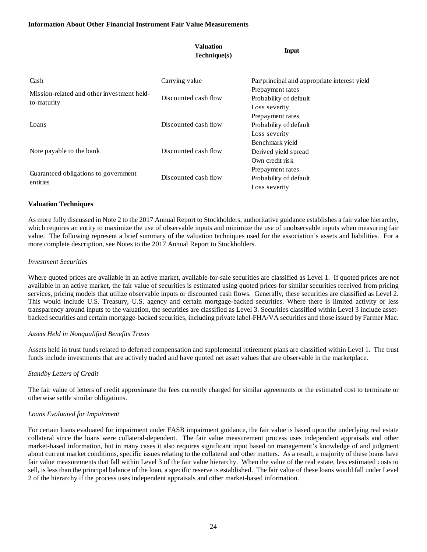|                                                                              | <b>Valuation</b><br>Technique(s) | <b>Input</b>                                 |  |
|------------------------------------------------------------------------------|----------------------------------|----------------------------------------------|--|
| Cash                                                                         | Carrying value                   | Par/principal and appropriate interest yield |  |
| Mission-related and other investment held-<br>to-maturity<br>Loans           |                                  | Prepayment rates                             |  |
|                                                                              | Discounted cash flow             | Probability of default                       |  |
|                                                                              |                                  | Loss severity                                |  |
|                                                                              |                                  | Prepayment rates                             |  |
|                                                                              | Discounted cash flow             | Probability of default                       |  |
|                                                                              |                                  | Loss severity                                |  |
|                                                                              |                                  | Benchmark yield                              |  |
| Note payable to the bank<br>Guaranteed obligations to government<br>entities | Discounted cash flow             | Derived yield spread                         |  |
|                                                                              |                                  | Own credit risk                              |  |
|                                                                              |                                  | Prepayment rates                             |  |
|                                                                              | Discounted cash flow             | Probability of default                       |  |
|                                                                              |                                  | Loss severity                                |  |

## **Valuation Techniques**

As more fully discussed in Note 2 to the 2017 Annual Report to Stockholders, authoritative guidance establishes a fair value hierarchy, which requires an entity to maximize the use of observable inputs and minimize the use of unobservable inputs when measuring fair value. The following represent a brief summary of the valuation techniques used for the association's assets and liabilities. For a more complete description, see Notes to the 2017 Annual Report to Stockholders.

## *Investment Securities*

Where quoted prices are available in an active market, available-for-sale securities are classified as Level 1. If quoted prices are not available in an active market, the fair value of securities is estimated using quoted prices for similar securities received from pricing services, pricing models that utilize observable inputs or discounted cash flows. Generally, these securities are classified as Level 2. This would include U.S. Treasury, U.S. agency and certain mortgage-backed securities. Where there is limited activity or less transparency around inputs to the valuation, the securities are classified as Level 3. Securities classified within Level 3 include assetbacked securities and certain mortgage-backed securities, including private label-FHA/VA securities and those issued by Farmer Mac.

## *Assets Held in Nonqualified Benefits Trusts*

Assets held in trust funds related to deferred compensation and supplemental retirement plans are classified within Level 1. The trust funds include investments that are actively traded and have quoted net asset values that are observable in the marketplace.

## *Standby Letters of Credit*

The fair value of letters of credit approximate the fees currently charged for similar agreements or the estimated cost to terminate or otherwise settle similar obligations.

#### *Loans Evaluated for Impairment*

For certain loans evaluated for impairment under FASB impairment guidance, the fair value is based upon the underlying real estate collateral since the loans were collateral-dependent. The fair value measurement process uses independent appraisals and other market-based information, but in many cases it also requires significant input based on management's knowledge of and judgment about current market conditions, specific issues relating to the collateral and other matters. As a result, a majority of these loans have fair value measurements that fall within Level 3 of the fair value hierarchy. When the value of the real estate, less estimated costs to sell, is less than the principal balance of the loan, a specific reserve is established. The fair value of these loans would fall under Level 2 of the hierarchy if the process uses independent appraisals and other market-based information.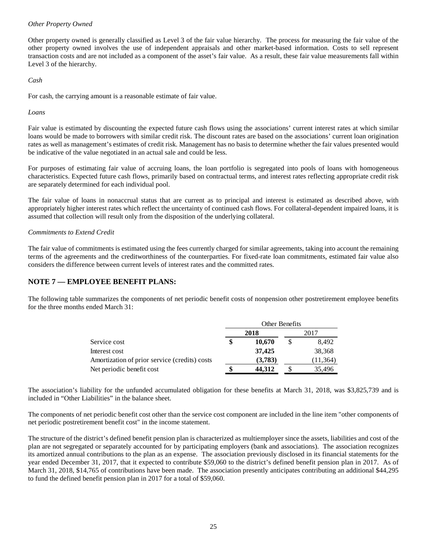## *Other Property Owned*

Other property owned is generally classified as Level 3 of the fair value hierarchy. The process for measuring the fair value of the other property owned involves the use of independent appraisals and other market-based information. Costs to sell represent transaction costs and are not included as a component of the asset's fair value. As a result, these fair value measurements fall within Level 3 of the hierarchy.

*Cash* 

For cash, the carrying amount is a reasonable estimate of fair value.

## *Loans*

Fair value is estimated by discounting the expected future cash flows using the associations' current interest rates at which similar loans would be made to borrowers with similar credit risk. The discount rates are based on the associations' current loan origination rates as well as management's estimates of credit risk. Management has no basis to determine whether the fair values presented would be indicative of the value negotiated in an actual sale and could be less.

For purposes of estimating fair value of accruing loans, the loan portfolio is segregated into pools of loans with homogeneous characteristics. Expected future cash flows, primarily based on contractual terms, and interest rates reflecting appropriate credit risk are separately determined for each individual pool.

The fair value of loans in nonaccrual status that are current as to principal and interest is estimated as described above, with appropriately higher interest rates which reflect the uncertainty of continued cash flows. For collateral-dependent impaired loans, it is assumed that collection will result only from the disposition of the underlying collateral.

## *Commitments to Extend Credit*

The fair value of commitments is estimated using the fees currently charged for similar agreements, taking into account the remaining terms of the agreements and the creditworthiness of the counterparties. For fixed-rate loan commitments, estimated fair value also considers the difference between current levels of interest rates and the committed rates.

# **NOTE 7 — EMPLOYEE BENEFIT PLANS:**

The following table summarizes the components of net periodic benefit costs of nonpension other postretirement employee benefits for the three months ended March 31:

|                                               | Other Benefits |         |      |           |
|-----------------------------------------------|----------------|---------|------|-----------|
|                                               | 2018           |         | 2017 |           |
| Service cost                                  |                | 10,670  |      | 8,492     |
| Interest cost                                 |                | 37,425  |      | 38,368    |
| Amortization of prior service (credits) costs |                | (3,783) |      | (11, 364) |
| Net periodic benefit cost                     |                | 44.312  |      | 35,496    |

The association's liability for the unfunded accumulated obligation for these benefits at March 31, 2018, was \$3,825,739 and is included in "Other Liabilities" in the balance sheet.

The components of net periodic benefit cost other than the service cost component are included in the line item "other components of net periodic postretirement benefit cost" in the income statement.

The structure of the district's defined benefit pension plan is characterized as multiemployer since the assets, liabilities and cost of the plan are not segregated or separately accounted for by participating employers (bank and associations). The association recognizes its amortized annual contributions to the plan as an expense. The association previously disclosed in its financial statements for the year ended December 31, 2017, that it expected to contribute \$59,060 to the district's defined benefit pension plan in 2017. As of March 31, 2018, \$14,765 of contributions have been made. The association presently anticipates contributing an additional \$44,295 to fund the defined benefit pension plan in 2017 for a total of \$59,060.